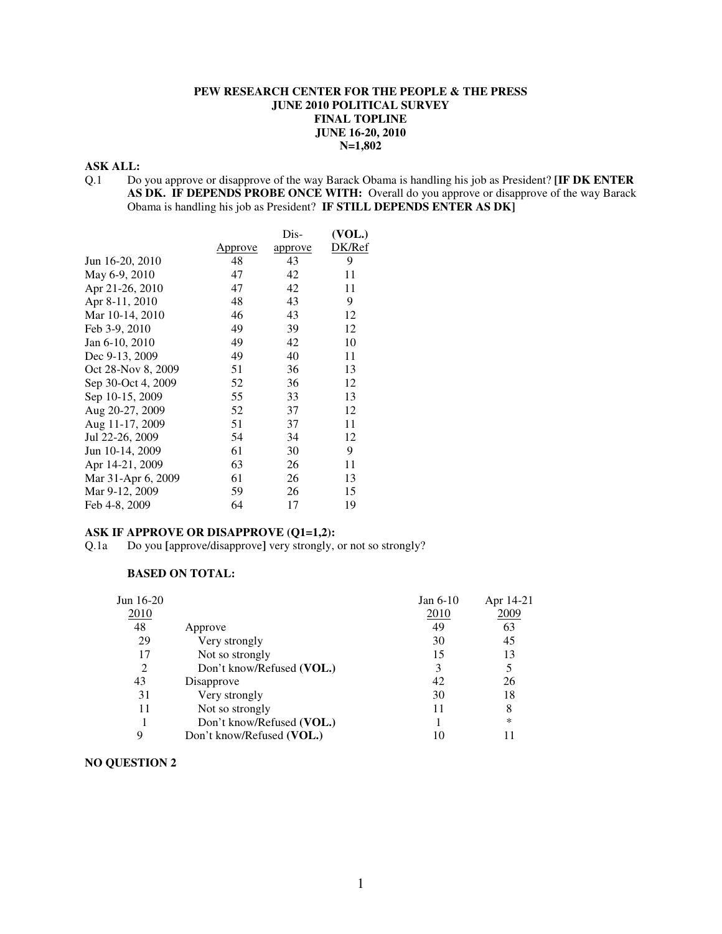#### **PEW RESEARCH CENTER FOR THE PEOPLE & THE PRESS JUNE 2010 POLITICAL SURVEY FINAL TOPLINE JUNE 16-20, 2010 N=1,802**

### **ASK ALL:**

Q.1 Do you approve or disapprove of the way Barack Obama is handling his job as President? **[IF DK ENTER AS DK. IF DEPENDS PROBE ONCE WITH:** Overall do you approve or disapprove of the way Barack Obama is handling his job as President? **IF STILL DEPENDS ENTER AS DK]**

|                    |                | Dis-    | (VOL.) |
|--------------------|----------------|---------|--------|
|                    | <u>Approve</u> | approve | DK/Ref |
| Jun 16-20, 2010    | 48             | 43      | 9      |
| May 6-9, 2010      | 47             | 42      | 11     |
| Apr 21-26, 2010    | 47             | 42      | 11     |
| Apr 8-11, 2010     | 48             | 43      | 9      |
| Mar 10-14, 2010    | 46             | 43      | 12     |
| Feb 3-9, 2010      | 49             | 39      | 12     |
| Jan 6-10, 2010     | 49             | 42      | 10     |
| Dec 9-13, 2009     | 49             | 40      | 11     |
| Oct 28-Nov 8, 2009 | 51             | 36      | 13     |
| Sep 30-Oct 4, 2009 | 52             | 36      | 12     |
| Sep 10-15, 2009    | 55             | 33      | 13     |
| Aug 20-27, 2009    | 52             | 37      | 12     |
| Aug 11-17, 2009    | 51             | 37      | 11     |
| Jul 22-26, 2009    | 54             | 34      | 12     |
| Jun 10-14, 2009    | 61             | 30      | 9      |
| Apr 14-21, 2009    | 63             | 26      | 11     |
| Mar 31-Apr 6, 2009 | 61             | 26      | 13     |
| Mar 9-12, 2009     | 59             | 26      | 15     |
| Feb 4-8, 2009      | 64             | 17      | 19     |

#### **ASK IF APPROVE OR DISAPPROVE (Q1=1,2):**

Q.1a Do you **[**approve/disapprove**]** very strongly, or not so strongly?

#### **BASED ON TOTAL:**

| Jun $16-20$ |                           | Jan $6-10$ | Apr 14-21 |
|-------------|---------------------------|------------|-----------|
| 2010        |                           | 2010       | 2009      |
| 48          | Approve                   | 49         | 63        |
| 29          | Very strongly             | 30         | 45        |
| 17          | Not so strongly           | 15         | 13        |
|             | Don't know/Refused (VOL.) | 3          |           |
| 43          | Disapprove                | 42         | 26        |
| 31          | Very strongly             | 30         | 18        |
| 11          | Not so strongly           | 11         | 8         |
|             | Don't know/Refused (VOL.) |            | *         |
| Q           | Don't know/Refused (VOL.) | 10         |           |

#### **NO QUESTION 2**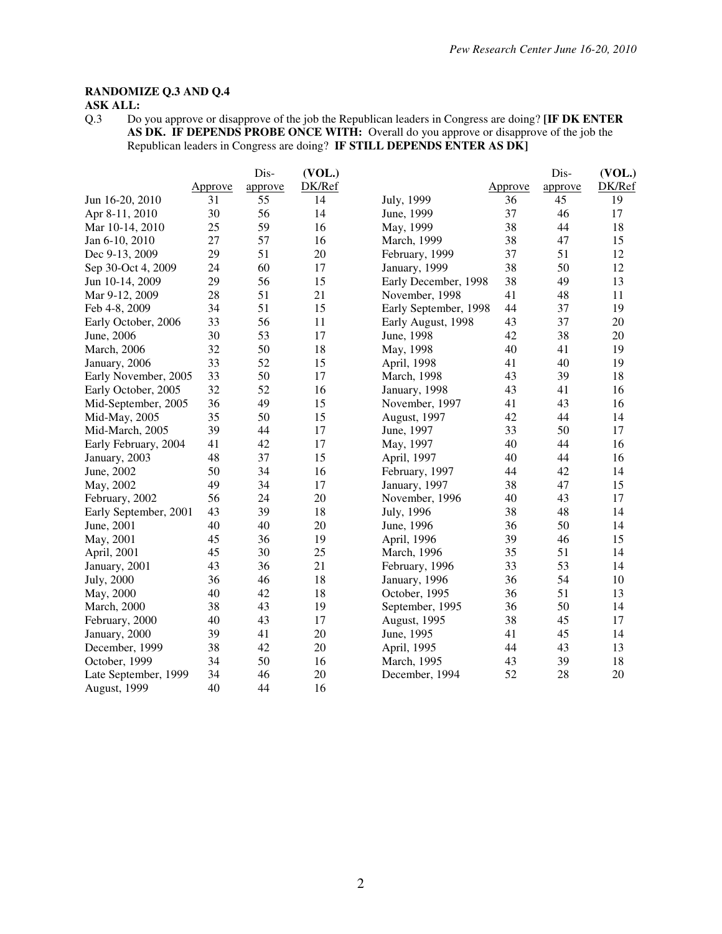# **RANDOMIZE Q.3 AND Q.4**

## **ASK ALL:**

Q.3 Do you approve or disapprove of the job the Republican leaders in Congress are doing? **[IF DK ENTER AS DK. IF DEPENDS PROBE ONCE WITH:** Overall do you approve or disapprove of the job the Republican leaders in Congress are doing? **IF STILL DEPENDS ENTER AS DK]** 

|                       |         | Dis-    | (VOL.) |                       |         | Dis-    | (VOL.) |
|-----------------------|---------|---------|--------|-----------------------|---------|---------|--------|
|                       | Approve | approve | DK/Ref |                       | Approve | approve | DK/Ref |
| Jun 16-20, 2010       | 31      | 55      | 14     | July, 1999            | 36      | 45      | 19     |
| Apr 8-11, 2010        | 30      | 56      | 14     | June, 1999            | 37      | 46      | 17     |
| Mar 10-14, 2010       | 25      | 59      | 16     | May, 1999             | 38      | 44      | 18     |
| Jan 6-10, 2010        | 27      | 57      | 16     | March, 1999           | 38      | 47      | 15     |
| Dec 9-13, 2009        | 29      | 51      | 20     | February, 1999        | 37      | 51      | 12     |
| Sep 30-Oct 4, 2009    | 24      | 60      | 17     | January, 1999         | 38      | 50      | 12     |
| Jun 10-14, 2009       | 29      | 56      | 15     | Early December, 1998  | 38      | 49      | 13     |
| Mar 9-12, 2009        | 28      | 51      | 21     | November, 1998        | 41      | 48      | 11     |
| Feb 4-8, 2009         | 34      | 51      | 15     | Early September, 1998 | 44      | 37      | 19     |
| Early October, 2006   | 33      | 56      | 11     | Early August, 1998    | 43      | 37      | 20     |
| June, 2006            | 30      | 53      | 17     | June, 1998            | 42      | 38      | 20     |
| March, 2006           | 32      | 50      | 18     | May, 1998             | 40      | 41      | 19     |
| January, 2006         | 33      | 52      | 15     | April, 1998           | 41      | 40      | 19     |
| Early November, 2005  | 33      | 50      | 17     | March, 1998           | 43      | 39      | 18     |
| Early October, 2005   | 32      | 52      | 16     | January, 1998         | 43      | 41      | 16     |
| Mid-September, 2005   | 36      | 49      | 15     | November, 1997        | 41      | 43      | 16     |
| Mid-May, 2005         | 35      | 50      | 15     | August, 1997          | 42      | 44      | 14     |
| Mid-March, 2005       | 39      | 44      | 17     | June, 1997            | 33      | 50      | 17     |
| Early February, 2004  | 41      | 42      | 17     | May, 1997             | 40      | 44      | 16     |
| January, 2003         | 48      | 37      | 15     | April, 1997           | 40      | 44      | 16     |
| June, 2002            | 50      | 34      | 16     | February, 1997        | 44      | 42      | 14     |
| May, 2002             | 49      | 34      | 17     | January, 1997         | 38      | 47      | 15     |
| February, 2002        | 56      | 24      | 20     | November, 1996        | 40      | 43      | 17     |
| Early September, 2001 | 43      | 39      | 18     | July, 1996            | 38      | 48      | 14     |
| June, 2001            | 40      | 40      | 20     | June, 1996            | 36      | 50      | 14     |
| May, 2001             | 45      | 36      | 19     | April, 1996           | 39      | 46      | 15     |
| April, 2001           | 45      | 30      | 25     | March, 1996           | 35      | 51      | 14     |
| January, 2001         | 43      | 36      | 21     | February, 1996        | 33      | 53      | 14     |
| <b>July</b> , 2000    | 36      | 46      | 18     | January, 1996         | 36      | 54      | 10     |
| May, 2000             | 40      | 42      | 18     | October, 1995         | 36      | 51      | 13     |
| March, 2000           | 38      | 43      | 19     | September, 1995       | 36      | 50      | 14     |
| February, 2000        | 40      | 43      | 17     | August, 1995          | 38      | 45      | 17     |
| January, 2000         | 39      | 41      | 20     | June, 1995            | 41      | 45      | 14     |
| December, 1999        | 38      | 42      | 20     | April, 1995           | 44      | 43      | 13     |
| October, 1999         | 34      | 50      | 16     | March, 1995           | 43      | 39      | 18     |
| Late September, 1999  | 34      | 46      | 20     | December, 1994        | 52      | 28      | 20     |
| <b>August</b> , 1999  | 40      | 44      | 16     |                       |         |         |        |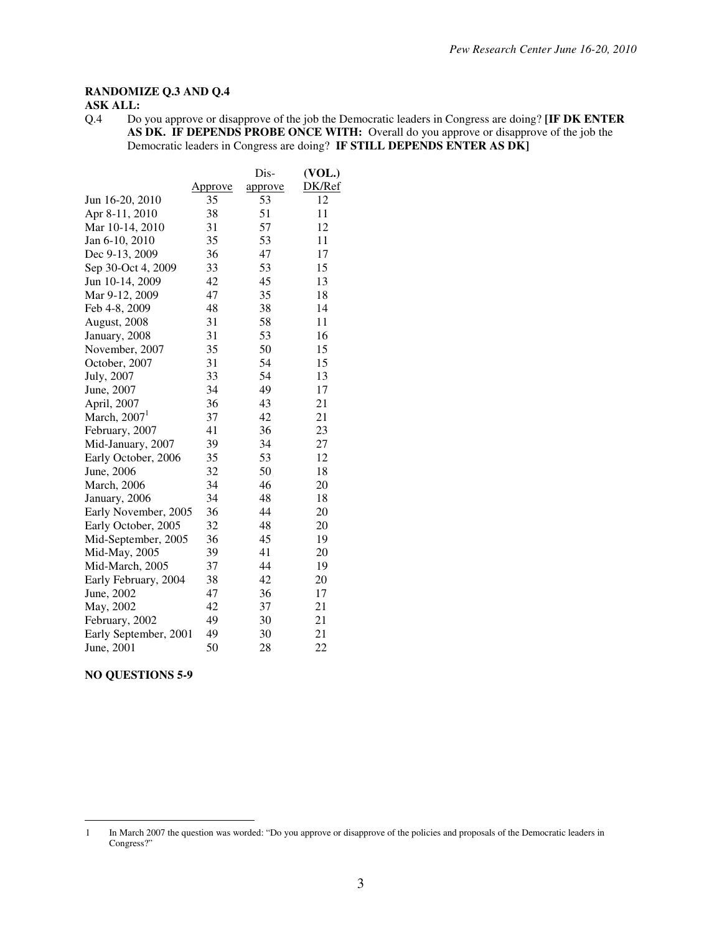### **RANDOMIZE Q.3 AND Q.4**

#### **ASK ALL:**

Q.4 Do you approve or disapprove of the job the Democratic leaders in Congress are doing? **[IF DK ENTER AS DK. IF DEPENDS PROBE ONCE WITH:** Overall do you approve or disapprove of the job the Democratic leaders in Congress are doing? **IF STILL DEPENDS ENTER AS DK]**

|                       |                | Dis-    | (VOL.) |
|-----------------------|----------------|---------|--------|
|                       | <u>Approve</u> | approve | DK/Ref |
| Jun 16-20, 2010       | 35             | 53      | 12     |
| Apr 8-11, 2010        | 38             | 51      | 11     |
| Mar 10-14, 2010       | 31             | 57      | 12     |
| Jan 6-10, 2010        | 35             | 53      | 11     |
| Dec 9-13, 2009        | 36             | 47      | 17     |
| Sep 30-Oct 4, 2009    | 33             | 53      | 15     |
| Jun 10-14, 2009       | 42             | 45      | 13     |
| Mar 9-12, 2009        | 47             | 35      | 18     |
| Feb 4-8, 2009         | 48             | 38      | 14     |
| August, 2008          | 31             | 58      | 11     |
| January, 2008         | 31             | 53      | 16     |
| November, 2007        | 35             | 50      | 15     |
| October, 2007         | 31             | 54      | 15     |
| July, 2007            | 33             | 54      | 13     |
| June, 2007            | 34             | 49      | 17     |
| April, 2007           | 36             | 43      | 21     |
| March, $20071$        | 37             | 42      | 21     |
| February, 2007        | 41             | 36      | 23     |
| Mid-January, 2007     | 39             | 34      | 27     |
| Early October, 2006   | 35             | 53      | 12     |
| June, 2006            | 32             | 50      | 18     |
| March, 2006           | 34             | 46      | 20     |
| January, 2006         | 34             | 48      | 18     |
| Early November, 2005  | 36             | 44      | 20     |
| Early October, 2005   | 32             | 48      | 20     |
| Mid-September, 2005   | 36             | 45      | 19     |
| Mid-May, 2005         | 39             | 41      | 20     |
| Mid-March, 2005       | 37             | 44      | 19     |
| Early February, 2004  | 38             | 42      | 20     |
| June, 2002            | 47             | 36      | 17     |
| May, 2002             | 42             | 37      | 21     |
| February, 2002        | 49             | 30      | 21     |
| Early September, 2001 | 49             | 30      | 21     |
| June, 2001            | 50             | 28      | 22     |

**NO QUESTIONS 5-9** 

 $\overline{a}$ 

<sup>1</sup> In March 2007 the question was worded: "Do you approve or disapprove of the policies and proposals of the Democratic leaders in Congress?"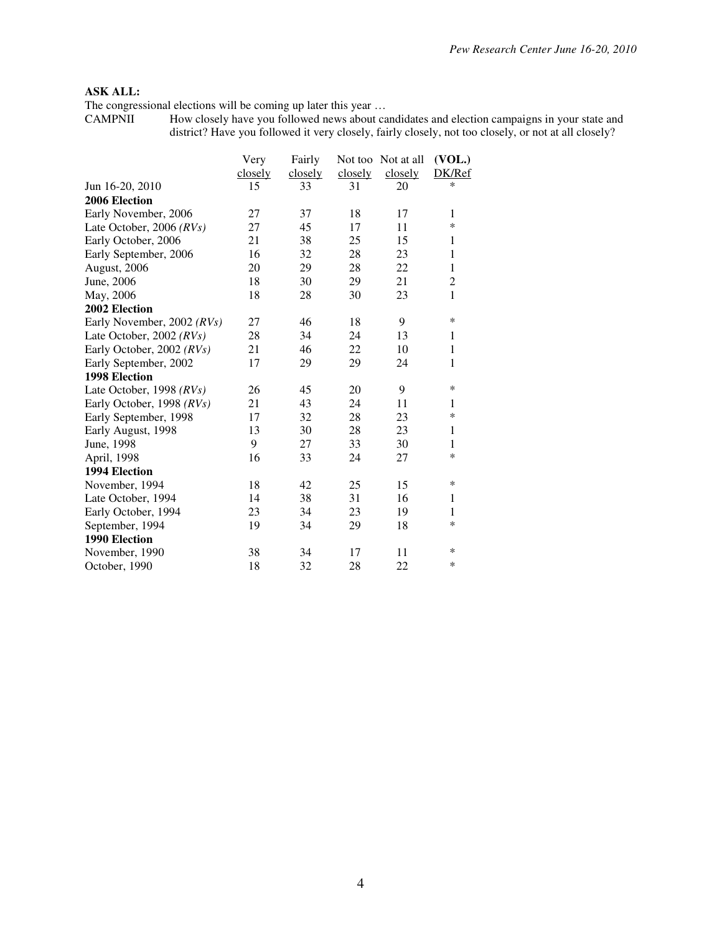### **ASK ALL:**

The congressional elections will be coming up later this year …

CAMPNII How closely have you followed news about candidates and election campaigns in your state and district? Have you followed it very closely, fairly closely, not too closely, or not at all closely?

|                            | Very    | Fairly  |         | Not too Not at all | (VOL.)       |
|----------------------------|---------|---------|---------|--------------------|--------------|
|                            | closely | closely | closely | closely            | DK/Ref       |
| Jun 16-20, 2010            | 15      | 33      | 31      | 20                 | $\ast$       |
| 2006 Election              |         |         |         |                    |              |
| Early November, 2006       | 27      | 37      | 18      | 17                 | $\mathbf{1}$ |
| Late October, 2006 $(RVs)$ | 27      | 45      | 17      | 11                 | *            |
| Early October, 2006        | 21      | 38      | 25      | 15                 | 1            |
| Early September, 2006      | 16      | 32      | 28      | 23                 | $\mathbf{1}$ |
| August, 2006               | 20      | 29      | 28      | 22                 | $\mathbf{1}$ |
| June, 2006                 | 18      | 30      | 29      | 21                 | 2            |
| May, 2006                  | 18      | 28      | 30      | 23                 | $\mathbf{1}$ |
| 2002 Election              |         |         |         |                    |              |
| Early November, 2002 (RVs) | 27      | 46      | 18      | 9                  | $\ast$       |
| Late October, 2002 $(RVs)$ | 28      | 34      | 24      | 13                 | 1            |
| Early October, 2002 (RVs)  | 21      | 46      | 22      | 10                 | 1            |
| Early September, 2002      | 17      | 29      | 29      | 24                 | $\mathbf{1}$ |
| <b>1998 Election</b>       |         |         |         |                    |              |
| Late October, 1998 $(RVs)$ | 26      | 45      | 20      | 9                  | *            |
| Early October, 1998 (RVs)  | 21      | 43      | 24      | 11                 | 1            |
| Early September, 1998      | 17      | 32      | 28      | 23                 | *            |
| Early August, 1998         | 13      | 30      | 28      | 23                 | $\mathbf{1}$ |
| June, 1998                 | 9       | 27      | 33      | 30                 | $\mathbf{1}$ |
| April, 1998                | 16      | 33      | 24      | 27                 | *            |
| 1994 Election              |         |         |         |                    |              |
| November, 1994             | 18      | 42      | 25      | 15                 | *            |
| Late October, 1994         | 14      | 38      | 31      | 16                 | 1            |
| Early October, 1994        | 23      | 34      | 23      | 19                 | 1            |
| September, 1994            | 19      | 34      | 29      | 18                 | *            |
| 1990 Election              |         |         |         |                    |              |
| November, 1990             | 38      | 34      | 17      | 11                 | ∗            |
| October, 1990              | 18      | 32      | 28      | 22                 | $\ast$       |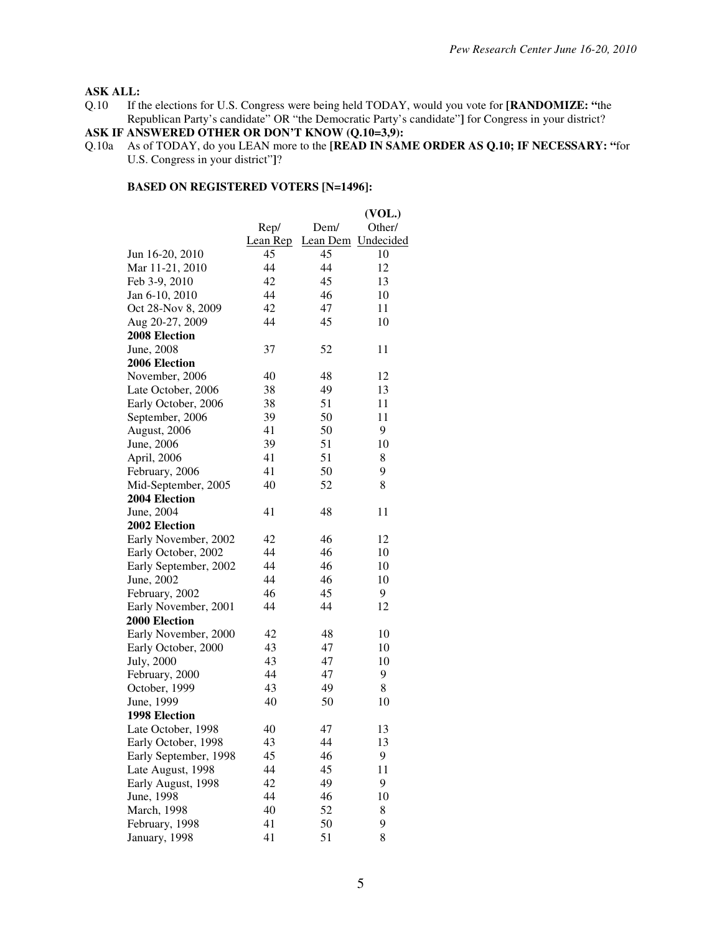# **ASK ALL:**<br>Q.10 If tl

If the elections for U.S. Congress were being held TODAY, would you vote for **[RANDOMIZE:** "the Republican Party's candidate" OR "the Democratic Party's candidate"**]** for Congress in your district?

#### **ASK IF ANSWERED OTHER OR DON'T KNOW (Q.10=3,9):**

Q.10a As of TODAY, do you LEAN more to the **[READ IN SAME ORDER AS Q.10; IF NECESSARY: "**for U.S. Congress in your district"**]**?

|                       |          |      | (VOL.)             |
|-----------------------|----------|------|--------------------|
|                       | Rep/     | Dem/ | Other/             |
|                       | Lean Rep |      | Lean Dem Undecided |
| Jun 16-20, 2010       | 45       | 45   | 10                 |
| Mar 11-21, 2010       | 44       | 44   | 12                 |
| Feb 3-9, 2010         | 42       | 45   | 13                 |
| Jan 6-10, 2010        | 44       | 46   | 10                 |
| Oct 28-Nov 8, 2009    | 42       | 47   | 11                 |
| Aug 20-27, 2009       | 44       | 45   | 10                 |
| 2008 Election         |          |      |                    |
| June, 2008            | 37       | 52   | 11                 |
| 2006 Election         |          |      |                    |
| November, 2006        | 40       | 48   | 12                 |
| Late October, 2006    | 38       | 49   | 13                 |
| Early October, 2006   | 38       | 51   | 11                 |
| September, 2006       | 39       | 50   | 11                 |
| August, 2006          | 41       | 50   | 9                  |
| June, 2006            | 39       | 51   | 10                 |
| April, 2006           | 41       | 51   | 8                  |
| February, 2006        | 41       | 50   | 9                  |
| Mid-September, 2005   | 40       | 52   | 8                  |
| 2004 Election         |          |      |                    |
| June, 2004            | 41       | 48   | 11                 |
| 2002 Election         |          |      |                    |
| Early November, 2002  | 42       | 46   | 12                 |
| Early October, 2002   | 44       | 46   | 10                 |
| Early September, 2002 | 44       | 46   | 10                 |
| June, 2002            | 44       | 46   | 10                 |
| February, 2002        | 46       | 45   | 9                  |
| Early November, 2001  | 44       | 44   | 12                 |
| 2000 Election         |          |      |                    |
| Early November, 2000  | 42       | 48   | 10                 |
| Early October, 2000   | 43       | 47   | 10                 |
| July, 2000            | 43       | 47   | 10                 |
| February, 2000        | 44       | 47   | 9                  |
| October, 1999         | 43       | 49   | 8                  |
| June, 1999            | 40       | 50   | 10                 |
| <b>1998 Election</b>  |          |      |                    |
| Late October, 1998    | 40       | 47   | 13                 |
| Early October, 1998   | 43       | 44   | 13                 |
| Early September, 1998 | 45       | 46   | 9                  |
| Late August, 1998     | 44       | 45   | 11                 |
| Early August, 1998    | 42       | 49   | 9                  |
| June, 1998            | 44       | 46   | 10                 |
| March, 1998           | 40       | 52   | 8                  |
| February, 1998        | 41       | 50   | 9                  |
| January, 1998         | 41       | 51   | 8                  |
|                       |          |      |                    |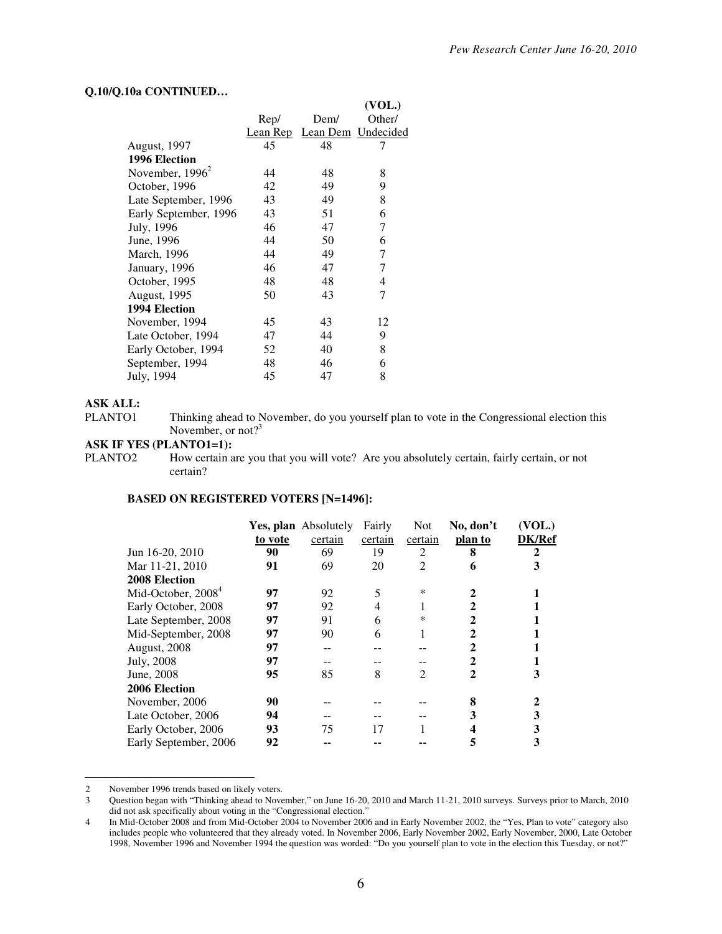#### **Q.10/Q.10a CONTINUED…**

|                       |      |                             | (VOL.) |
|-----------------------|------|-----------------------------|--------|
|                       | Rep/ | Dem/                        | Other/ |
|                       |      | Lean Rep Lean Dem Undecided |        |
| <b>August, 1997</b>   | 45   | 48                          | 7      |
| 1996 Election         |      |                             |        |
| November, $1996^2$    | 44   | 48                          | 8      |
| October, 1996         | 42   | 49                          | 9      |
| Late September, 1996  | 43   | 49                          | 8      |
| Early September, 1996 | 43   | 51                          | 6      |
| July, 1996            | 46   | 47                          | 7      |
| June, 1996            | 44   | 50                          | 6      |
| March, 1996           | 44   | 49                          | 7      |
| January, 1996         | 46   | 47                          | 7      |
| October, 1995         | 48   | 48                          | 4      |
| August, 1995          | 50   | 43                          | 7      |
| 1994 Election         |      |                             |        |
| November, 1994        | 45   | 43                          | 12     |
| Late October, 1994    | 47   | 44                          | 9      |
| Early October, 1994   | 52   | 40                          | 8      |
| September, 1994       | 48   | 46                          | 6      |
| July, 1994            | 45   | 47                          | 8      |
|                       |      |                             |        |

#### **ASK ALL:**

 $\overline{a}$ 

PLANTO1 Thinking ahead to November, do you yourself plan to vote in the Congressional election this November, or not?<sup>3</sup>

#### **ASK IF YES (PLANTO1=1):**

PLANTO2 How certain are you that you will vote? Are you absolutely certain, fairly certain, or not certain?

|                       |         | Yes, plan Absolutely | Fairly  | <b>Not</b>     | No, don't | (VOL.)        |
|-----------------------|---------|----------------------|---------|----------------|-----------|---------------|
|                       | to vote | certain              | certain | certain        | plan to   | <b>DK/Ref</b> |
| Jun 16-20, 2010       | 90      | 69                   | 19      | 2              | 8         | 2             |
| Mar 11-21, 2010       | 91      | 69                   | 20      | $\overline{c}$ | 6         | 3             |
| 2008 Election         |         |                      |         |                |           |               |
| Mid-October, $20084$  | 97      | 92                   | 5       | $\ast$         |           |               |
| Early October, 2008   | 97      | 92                   | 4       |                | 2         |               |
| Late September, 2008  | 97      | 91                   | 6       | $\ast$         |           |               |
| Mid-September, 2008   | 97      | 90                   | 6       |                | 2         |               |
| August, 2008          | 97      | --                   |         |                | 2         |               |
| July, 2008            | 97      |                      |         |                |           |               |
| June, 2008            | 95      | 85                   | 8       | 2              | 2         |               |
| 2006 Election         |         |                      |         |                |           |               |
| November, 2006        | 90      |                      |         |                | 8         |               |
| Late October, 2006    | 94      |                      |         |                |           |               |
| Early October, 2006   | 93      | 75                   | 17      |                |           |               |
| Early September, 2006 | 92      |                      |         |                | 5         |               |
|                       |         |                      |         |                |           |               |

<sup>2</sup> November 1996 trends based on likely voters.<br>3 Ouestion began with "Thinking ahead to Nove

<sup>3</sup> Question began with "Thinking ahead to November," on June 16-20, 2010 and March 11-21, 2010 surveys. Surveys prior to March, 2010 did not ask specifically about voting in the "Congressional election."

<sup>4</sup> In Mid-October 2008 and from Mid-October 2004 to November 2006 and in Early November 2002, the "Yes, Plan to vote" category also includes people who volunteered that they already voted. In November 2006, Early November 2002, Early November, 2000, Late October 1998, November 1996 and November 1994 the question was worded: "Do you yourself plan to vote in the election this Tuesday, or not?"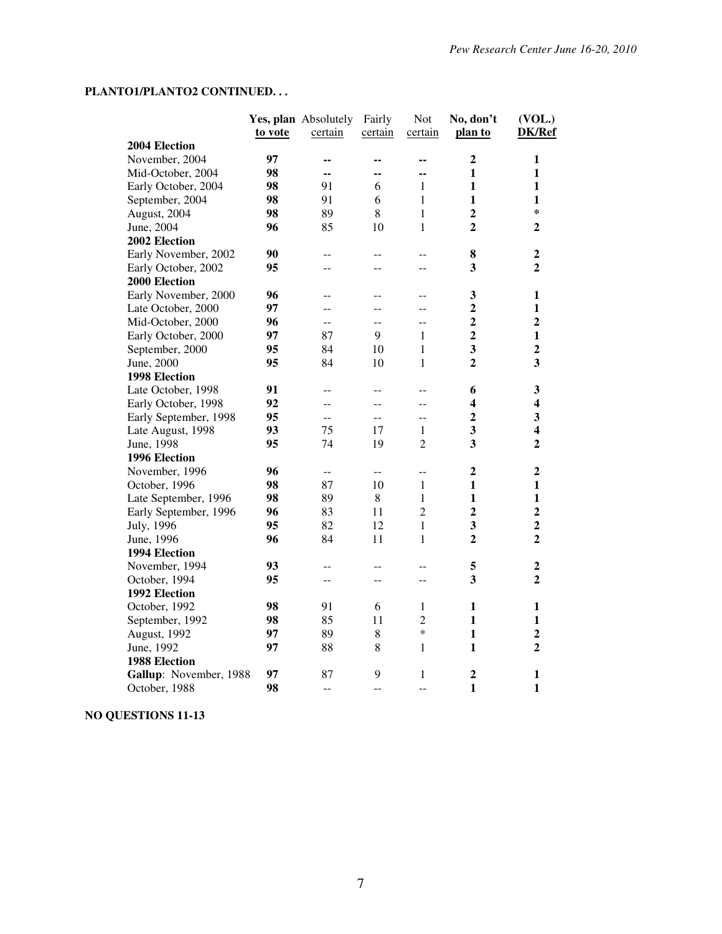# **PLANTO1/PLANTO2 CONTINUED. . .**

|                        |         | Yes, plan Absolutely | Fairly                   | <b>Not</b>     | No, don't               | (VOL.)                  |
|------------------------|---------|----------------------|--------------------------|----------------|-------------------------|-------------------------|
|                        | to vote | certain              | certain                  | certain        | plan to                 | DK/Ref                  |
| 2004 Election          |         |                      |                          |                |                         |                         |
| November, 2004         | 97      | --                   | --                       | --             | $\overline{2}$          | $\mathbf{1}$            |
| Mid-October, 2004      | 98      | --                   | --                       | --             | $\mathbf{1}$            | $\mathbf{1}$            |
| Early October, 2004    | 98      | 91                   | 6                        | $\mathbf{1}$   | $\mathbf{1}$            | $\mathbf{1}$            |
| September, 2004        | 98      | 91                   | 6                        | $\mathbf{1}$   | 1                       | $\mathbf{1}$            |
| August, 2004           | 98      | 89                   | $\,8\,$                  | $\mathbf{1}$   | $\overline{2}$          | $\ast$                  |
| June, 2004             | 96      | 85                   | 10                       | 1              | $\overline{2}$          | $\mathbf{2}$            |
| 2002 Election          |         |                      |                          |                |                         |                         |
| Early November, 2002   | 90      | --                   | --                       | $-$            | 8                       | 2                       |
| Early October, 2002    | 95      | --                   | --                       | $-$            | 3                       | $\overline{2}$          |
| 2000 Election          |         |                      |                          |                |                         |                         |
| Early November, 2000   | 96      | --                   | $-$                      | --             | $\mathbf{3}$            | 1                       |
| Late October, 2000     | 97      | --                   | --                       | --             | $\boldsymbol{2}$        | $\mathbf{1}$            |
| Mid-October, 2000      | 96      | --                   |                          |                | $\overline{\mathbf{2}}$ | $\overline{\mathbf{2}}$ |
| Early October, 2000    | 97      | 87                   | 9                        | 1              | $\overline{2}$          | $\mathbf{1}$            |
| September, 2000        | 95      | 84                   | 10                       | 1              | 3                       | $\boldsymbol{2}$        |
| June, 2000             | 95      | 84                   | 10                       | $\mathbf{1}$   | $\overline{2}$          | $\overline{\mathbf{3}}$ |
| 1998 Election          |         |                      |                          |                |                         |                         |
| Late October, 1998     | 91      | --                   |                          |                | 6                       | $\mathbf{3}$            |
| Early October, 1998    | 92      |                      | --                       | --             | 4                       | 4                       |
| Early September, 1998  | 95      | --                   | --                       | --             | $\overline{2}$          | 3                       |
| Late August, 1998      | 93      | 75                   | 17                       | 1              | 3                       | $\overline{\mathbf{4}}$ |
| June, 1998             | 95      | 74                   | 19                       | $\overline{2}$ | $\overline{\mathbf{3}}$ | $\overline{2}$          |
| 1996 Election          |         |                      |                          |                |                         |                         |
| November, 1996         | 96      | $-$                  | $- -$                    | $-$            | $\boldsymbol{2}$        | $\mathbf{2}$            |
| October, 1996          | 98      | 87                   | 10                       | $\mathbf{1}$   | $\mathbf{1}$            | $\mathbf{1}$            |
| Late September, 1996   | 98      | 89                   | 8                        | $\mathbf{1}$   | $\mathbf{1}$            | $\mathbf{1}$            |
| Early September, 1996  | 96      | 83                   | 11                       | $\overline{2}$ | $\overline{2}$          | $\overline{2}$          |
| July, 1996             | 95      | 82                   | 12                       | $\mathbf{1}$   | 3                       | $\overline{2}$          |
| June, 1996             | 96      | 84                   | 11                       | 1              | $\overline{2}$          | $\overline{2}$          |
| 1994 Election          |         |                      |                          |                |                         |                         |
| November, 1994         | 93      | --                   | --                       | $-$            | 5                       | 2                       |
| October, 1994          | 95      | --                   | $\overline{\phantom{a}}$ | $-$            | 3                       | $\overline{2}$          |
| 1992 Election          |         |                      |                          |                |                         |                         |
| October, 1992          | 98      | 91                   | 6                        | 1              | 1                       | 1                       |
| September, 1992        | 98      | 85                   | 11                       | $\mathfrak{2}$ | 1                       | $\mathbf{1}$            |
| August, 1992           | 97      | 89                   | 8                        | $\ast$         | $\mathbf{1}$            | $\overline{2}$          |
| June, 1992             | 97      | 88                   | $\,8\,$                  | 1              | $\mathbf{1}$            | $\overline{2}$          |
| 1988 Election          |         |                      |                          |                |                         |                         |
| Gallup: November, 1988 | 97      | 87                   | 9                        | $\mathbf{1}$   | $\boldsymbol{2}$        | $\mathbf{1}$            |
|                        | 98      |                      |                          |                | $\mathbf{1}$            | $\mathbf{1}$            |
| October, 1988          |         | $\overline{a}$       | $-$                      | --             |                         |                         |

# **NO QUESTIONS 11-13**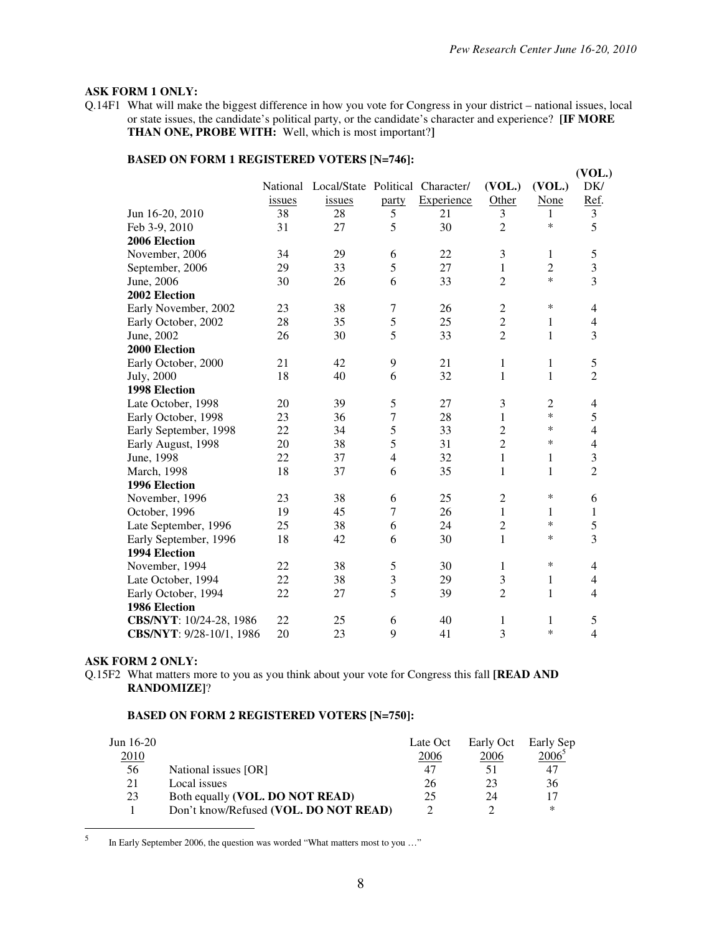#### **ASK FORM 1 ONLY:**

Q.14F1 What will make the biggest difference in how you vote for Congress in your district – national issues, local or state issues, the candidate's political party, or the candidate's character and experience? **[IF MORE THAN ONE, PROBE WITH:** Well, which is most important?**]**

# **BASED ON FORM 1 REGISTERED VOTERS [N=746]:**

|                          |        |                                           |                          |            |                |                | (VOL.)                   |
|--------------------------|--------|-------------------------------------------|--------------------------|------------|----------------|----------------|--------------------------|
|                          |        | National Local/State Political Character/ |                          |            | (VOL.)         | (VOL.)         | DK/                      |
|                          | issues | issues                                    | party                    | Experience | Other          | None           | Ref.                     |
| Jun 16-20, 2010          | 38     | 28                                        | 5                        | 21         | 3              | 1              | 3                        |
| Feb 3-9, 2010            | 31     | 27                                        | 5                        | 30         | $\overline{2}$ | $\ast$         | 5                        |
| 2006 Election            |        |                                           |                          |            |                |                |                          |
| November, 2006           | 34     | 29                                        | 6                        | 22         | 3              | 1              | 5                        |
| September, 2006          | 29     | 33                                        | 5                        | 27         | $\mathbf{1}$   | $\overline{c}$ | $\overline{\mathbf{3}}$  |
| June, 2006               | 30     | 26                                        | 6                        | 33         | $\overline{2}$ | $\ast$         | 3                        |
| 2002 Election            |        |                                           |                          |            |                |                |                          |
| Early November, 2002     | 23     | 38                                        | 7                        | 26         | $\mathfrak{2}$ | *              | 4                        |
| Early October, 2002      | 28     | 35                                        | 5                        | 25         | $\overline{c}$ | $\mathbf{1}$   | 4                        |
| June, 2002               | 26     | 30                                        | 5                        | 33         | $\overline{2}$ | 1              | 3                        |
| 2000 Election            |        |                                           |                          |            |                |                |                          |
| Early October, 2000      | 21     | 42                                        | 9                        | 21         | $\mathbf{1}$   | $\mathbf{1}$   | $\mathfrak s$            |
| July, 2000               | 18     | 40                                        | 6                        | 32         | $\mathbf 1$    | $\mathbf{1}$   | $\overline{2}$           |
| <b>1998 Election</b>     |        |                                           |                          |            |                |                |                          |
| Late October, 1998       | 20     | 39                                        | 5                        | 27         | 3              | $\overline{2}$ | 4                        |
| Early October, 1998      | 23     | 36                                        | 7                        | 28         | $\mathbf{1}$   | $\ast$         | 5                        |
| Early September, 1998    | 22     | 34                                        | 5                        | 33         | $\overline{2}$ | $\ast$         | $\overline{4}$           |
| Early August, 1998       | 20     | 38                                        | 5                        | 31         | $\overline{c}$ | *              | $\overline{\mathcal{L}}$ |
| June, 1998               | 22     | 37                                        | $\overline{\mathcal{L}}$ | 32         | $\mathbf{1}$   | $\mathbf{1}$   | 3                        |
| March, 1998              | 18     | 37                                        | 6                        | 35         | $\mathbf 1$    | 1              | $\overline{2}$           |
| 1996 Election            |        |                                           |                          |            |                |                |                          |
| November, 1996           | 23     | 38                                        | 6                        | 25         | $\overline{c}$ | *              | 6                        |
| October, 1996            | 19     | 45                                        | 7                        | 26         | $\mathbf{1}$   | 1              | 1                        |
| Late September, 1996     | 25     | 38                                        | 6                        | 24         | $\overline{2}$ | $\ast$         | 5                        |
| Early September, 1996    | 18     | 42                                        | 6                        | 30         | $\mathbf{1}$   | $\ast$         | 3                        |
| 1994 Election            |        |                                           |                          |            |                |                |                          |
| November, 1994           | 22     | 38                                        | 5                        | 30         | 1              | $\ast$         | $\overline{4}$           |
| Late October, 1994       | 22     | 38                                        | 3                        | 29         | 3              | 1              | 4                        |
| Early October, 1994      | 22     | 27                                        | 5                        | 39         | $\overline{2}$ | $\mathbf{1}$   | 4                        |
| 1986 Election            |        |                                           |                          |            |                |                |                          |
| CBS/NYT: 10/24-28, 1986  | 22     | 25                                        | 6                        | 40         | 1              | $\mathbf{1}$   | 5                        |
| CBS/NYT: 9/28-10/1, 1986 | 20     | 23                                        | 9                        | 41         | 3              | $\ast$         | $\overline{4}$           |

### **ASK FORM 2 ONLY:**

Q.15F2 What matters more to you as you think about your vote for Congress this fall **[READ AND RANDOMIZE]**?

#### **BASED ON FORM 2 REGISTERED VOTERS [N=750]:**

| Jun $16-20$ |                                       | Late Oct | Early Oct | Early Sep      |
|-------------|---------------------------------------|----------|-----------|----------------|
| 2010        |                                       | 2006     | 2006      | $2006^{\circ}$ |
| 56          | National issues [OR]                  | 47       |           |                |
| 21          | Local issues                          | 26       | 23        | 36             |
| 23          | Both equally (VOL. DO NOT READ)       | 25       | 24        |                |
|             | Don't know/Refused (VOL. DO NOT READ) |          |           | ∗              |

 5 In Early September 2006, the question was worded "What matters most to you …"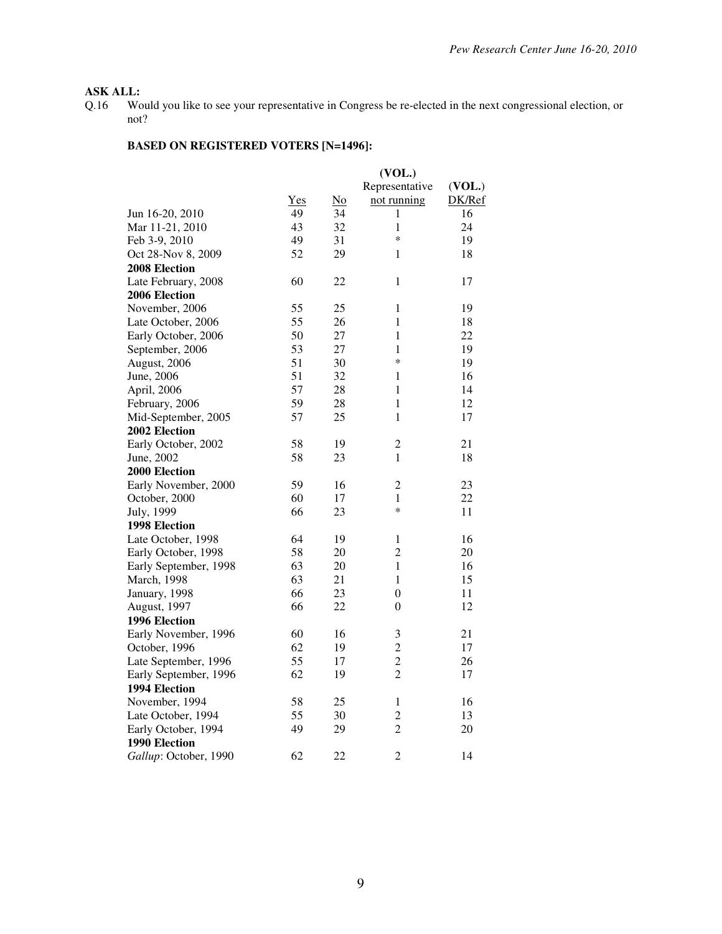# **ASK ALL:**<br>Q.16 Wo

Would you like to see your representative in Congress be re-elected in the next congressional election, or not?

|                       |     |                           | (VOL.)         |        |
|-----------------------|-----|---------------------------|----------------|--------|
|                       |     |                           | Representative | (VOL.) |
|                       | Yes | $\underline{\mathrm{No}}$ | not running    | DK/Ref |
| Jun 16-20, 2010       | 49  | 34                        | 1              | 16     |
| Mar 11-21, 2010       | 43  | 32                        | 1              | 24     |
| Feb 3-9, 2010         | 49  | 31                        | *              | 19     |
| Oct 28-Nov 8, 2009    | 52  | 29                        | 1              | 18     |
| 2008 Election         |     |                           |                |        |
| Late February, 2008   | 60  | 22                        | $\mathbf{1}$   | 17     |
| 2006 Election         |     |                           |                |        |
| November, 2006        | 55  | 25                        | $\mathbf{1}$   | 19     |
| Late October, 2006    | 55  | 26                        | 1              | 18     |
| Early October, 2006   | 50  | 27                        | 1              | 22     |
| September, 2006       | 53  | 27                        | $\mathbf{1}$   | 19     |
| August, 2006          | 51  | 30                        | *              | 19     |
| June, 2006            | 51  | 32                        | 1              | 16     |
| April, 2006           | 57  | 28                        | $\mathbf{1}$   | 14     |
| February, 2006        | 59  | 28                        | 1              | 12     |
| Mid-September, 2005   | 57  | 25                        | $\mathbf{1}$   | 17     |
| 2002 Election         |     |                           |                |        |
| Early October, 2002   | 58  | 19                        | $\overline{2}$ | 21     |
| June, 2002            | 58  | 23                        | $\mathbf{1}$   | 18     |
| 2000 Election         |     |                           |                |        |
| Early November, 2000  | 59  | 16                        | $\overline{2}$ | 23     |
| October, 2000         | 60  | 17                        | 1              | 22     |
| July, 1999            | 66  | 23                        | $\ast$         | 11     |
| <b>1998 Election</b>  |     |                           |                |        |
| Late October, 1998    | 64  | 19                        | 1              | 16     |
| Early October, 1998   | 58  | 20                        | $\overline{2}$ | 20     |
| Early September, 1998 | 63  | 20                        | $\mathbf{1}$   | 16     |
| March, 1998           | 63  | 21                        | $\mathbf{1}$   | 15     |
| January, 1998         | 66  | 23                        | $\overline{0}$ | 11     |
| August, 1997          | 66  | 22                        | $\theta$       | 12     |
| 1996 Election         |     |                           |                |        |
| Early November, 1996  | 60  | 16                        | 3              | 21     |
| October, 1996         | 62  | 19                        | $\overline{c}$ | 17     |
| Late September, 1996  | 55  | 17                        | $\overline{c}$ | 26     |
| Early September, 1996 | 62  | 19                        | $\overline{2}$ | 17     |
| 1994 Election         |     |                           |                |        |
| November, 1994        | 58  | 25                        | 1              | 16     |
| Late October, 1994    | 55  | 30                        | $\overline{c}$ | 13     |
| Early October, 1994   | 49  | 29                        | $\overline{2}$ | 20     |
| 1990 Election         |     |                           |                |        |
| Gallup: October, 1990 | 62  | 22                        | 2              | 14     |
|                       |     |                           |                |        |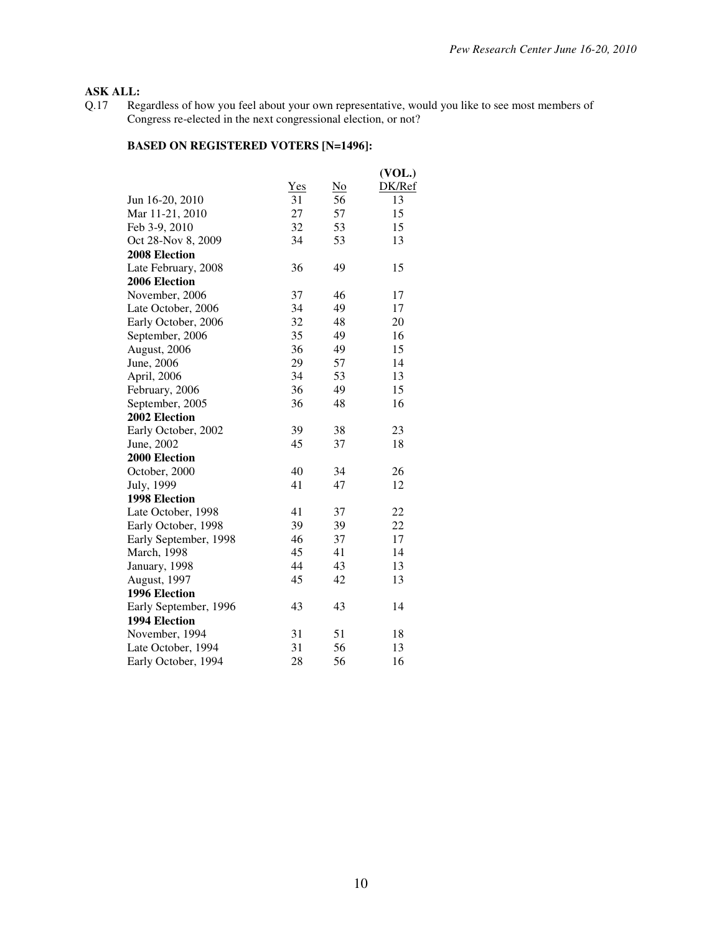# **ASK ALL:**<br>Q.17 Reg

Q.17 Regardless of how you feel about your own representative, would you like to see most members of Congress re-elected in the next congressional election, or not?

|                       |            |    | (VOL.) |
|-----------------------|------------|----|--------|
|                       | <b>Yes</b> | No | DK/Ref |
| Jun 16-20, 2010       | 31         | 56 | 13     |
| Mar 11-21, 2010       | 27         | 57 | 15     |
| Feb 3-9, 2010         | 32         | 53 | 15     |
| Oct 28-Nov 8, 2009    | 34         | 53 | 13     |
| 2008 Election         |            |    |        |
| Late February, 2008   | 36         | 49 | 15     |
| 2006 Election         |            |    |        |
| November, 2006        | 37         | 46 | 17     |
| Late October, 2006    | 34         | 49 | 17     |
| Early October, 2006   | 32         | 48 | 20     |
| September, 2006       | 35         | 49 | 16     |
| August, 2006          | 36         | 49 | 15     |
| June, 2006            | 29         | 57 | 14     |
| April, 2006           | 34         | 53 | 13     |
| February, 2006        | 36         | 49 | 15     |
| September, 2005       | 36         | 48 | 16     |
| 2002 Election         |            |    |        |
| Early October, 2002   | 39         | 38 | 23     |
| June, 2002            | 45         | 37 | 18     |
| 2000 Election         |            |    |        |
| October, 2000         | 40         | 34 | 26     |
| July, 1999            | 41         | 47 | 12     |
| <b>1998 Election</b>  |            |    |        |
| Late October, 1998    | 41         | 37 | 22     |
| Early October, 1998   | 39         | 39 | 22     |
| Early September, 1998 | 46         | 37 | 17     |
| <b>March</b> , 1998   | 45         | 41 | 14     |
| January, 1998         | 44         | 43 | 13     |
| August, 1997          | 45         | 42 | 13     |
| 1996 Election         |            |    |        |
| Early September, 1996 | 43         | 43 | 14     |
| 1994 Election         |            |    |        |
| November, 1994        | 31         | 51 | 18     |
| Late October, 1994    | 31         | 56 | 13     |
| Early October, 1994   | 28         | 56 | 16     |
|                       |            |    |        |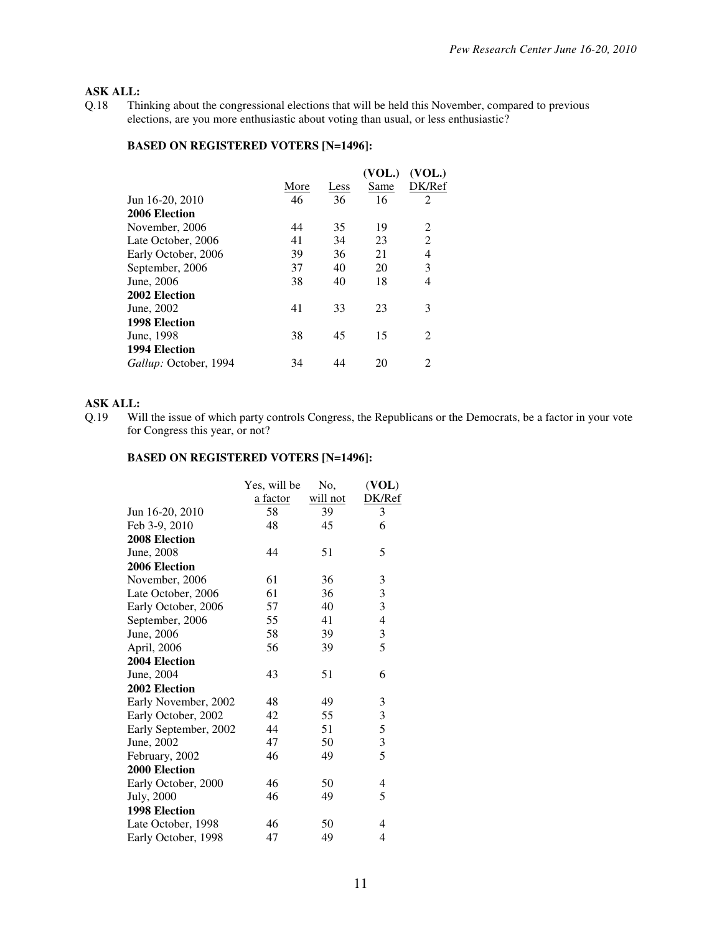# **ASK ALL:**<br>0.18 Thi

Thinking about the congressional elections that will be held this November, compared to previous elections, are you more enthusiastic about voting than usual, or less enthusiastic?

#### **BASED ON REGISTERED VOTERS [N=1496]:**

|                       |      |      | (VOL.) | (VOL.)                      |
|-----------------------|------|------|--------|-----------------------------|
|                       | More | Less | Same   | DK/Ref                      |
| Jun 16-20, 2010       | 46   | 36   | 16     | $\overline{2}$              |
| 2006 Election         |      |      |        |                             |
| November, 2006        | 44   | 35   | 19     | 2                           |
| Late October, 2006    | 41   | 34   | 23     | $\overline{2}$              |
| Early October, 2006   | 39   | 36   | 21     | $\overline{4}$              |
| September, 2006       | 37   | 40   | 20     | 3                           |
| June, 2006            | 38   | 40   | 18     | 4                           |
| 2002 Election         |      |      |        |                             |
| June, 2002            | 41   | 33   | 23     | 3                           |
| 1998 Election         |      |      |        |                             |
| June, 1998            | 38   | 45   | 15     | $\mathfrak{D}$              |
| 1994 Election         |      |      |        |                             |
| Gallup: October, 1994 | 34   |      | 20     | $\mathcal{D}_{\mathcal{A}}$ |
|                       |      |      |        |                             |

### **ASK ALL:**

Q.19 Will the issue of which party controls Congress, the Republicans or the Democrats, be a factor in your vote for Congress this year, or not?

|                       | Yes, will be | No,      | (VOL)                                      |
|-----------------------|--------------|----------|--------------------------------------------|
|                       | a factor     | will not | DK/Ref                                     |
| Jun 16-20, 2010       | 58           | 39       | 3                                          |
| Feb 3-9, 2010         | 48           | 45       | 6                                          |
| 2008 Election         |              |          |                                            |
| June, 2008            | 44           | 51       | 5                                          |
| 2006 Election         |              |          |                                            |
| November, 2006        | 61           | 36       | 3                                          |
| Late October, 2006    | 61           | 36       | $\frac{3}{3}$                              |
| Early October, 2006   | 57           | 40       |                                            |
| September, 2006       | 55           | 41       | $\overline{4}$                             |
| June, 2006            | 58           | 39       | 3                                          |
| April, 2006           | 56           | 39       | 5                                          |
| 2004 Election         |              |          |                                            |
| June, 2004            | 43           | 51       | 6                                          |
| 2002 Election         |              |          |                                            |
| Early November, 2002  | 48           | 49       | 3                                          |
| Early October, 2002   | 42           | 55       | 3                                          |
| Early September, 2002 | 44           | 51       | $\begin{array}{c} 5 \\ 3 \\ 5 \end{array}$ |
| June, 2002            | 47           | 50       |                                            |
| February, 2002        | 46           | 49       |                                            |
| 2000 Election         |              |          |                                            |
| Early October, 2000   | 46           | 50       | 4                                          |
| July, 2000            | 46           | 49       | 5                                          |
| <b>1998 Election</b>  |              |          |                                            |
| Late October, 1998    | 46           | 50       | 4                                          |
| Early October, 1998   | 47           | 49       | 4                                          |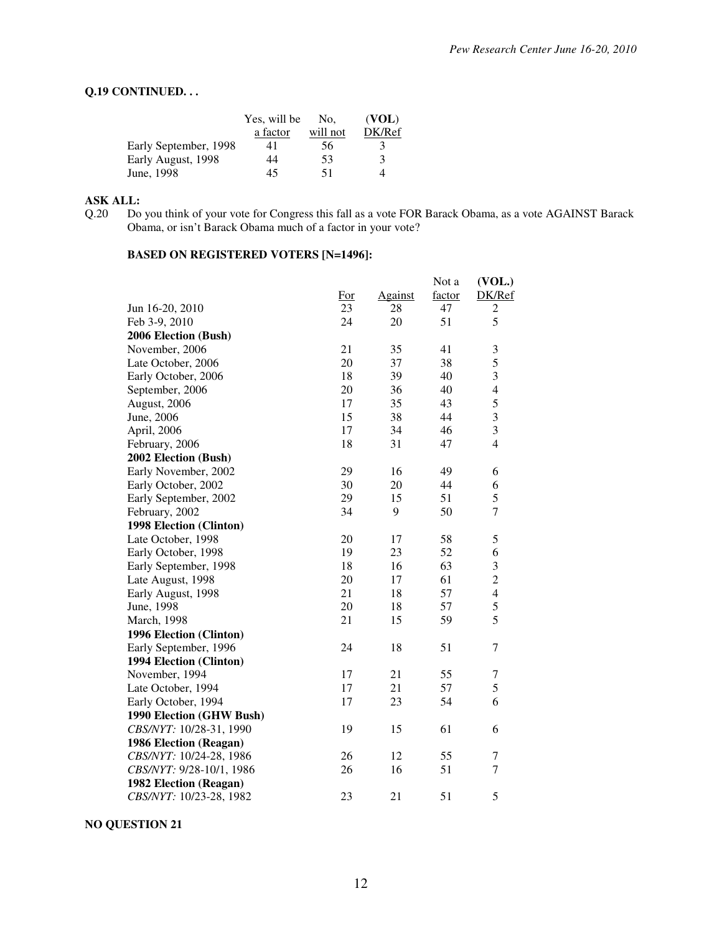### **Q.19 CONTINUED. . .**

|                       | Yes, will be | No.      | (VOL)       |
|-----------------------|--------------|----------|-------------|
|                       | a factor     | will not | DK/Ref      |
| Early September, 1998 | 41           | 56       | 3           |
| Early August, 1998    | 44           | 53       | $\mathbf 3$ |
| June, 1998            | 45           | 51       |             |

**ASK ALL:**  Do you think of your vote for Congress this fall as a vote FOR Barack Obama, as a vote AGAINST Barack Obama, or isn't Barack Obama much of a factor in your vote?

# **BASED ON REGISTERED VOTERS [N=1496]:**

|                          |     |         | Not a  | (VOL.)                                |
|--------------------------|-----|---------|--------|---------------------------------------|
|                          | For | Against | factor | DK/Ref                                |
| Jun 16-20, 2010          | 23  | 28      | 47     | $\mathfrak{2}% _{H}=\mathfrak{2}_{H}$ |
| Feb 3-9, 2010            | 24  | 20      | 51     | 5                                     |
| 2006 Election (Bush)     |     |         |        |                                       |
| November, 2006           | 21  | 35      | 41     | 3                                     |
| Late October, 2006       | 20  | 37      | 38     | 5                                     |
| Early October, 2006      | 18  | 39      | 40     | $\overline{\mathbf{3}}$               |
| September, 2006          | 20  | 36      | 40     | $\overline{\mathcal{L}}$              |
| August, 2006             | 17  | 35      | 43     | 5                                     |
| June, 2006               | 15  | 38      | 44     | 3                                     |
| April, 2006              | 17  | 34      | 46     | $\mathfrak{Z}$                        |
| February, 2006           | 18  | 31      | 47     | $\overline{4}$                        |
| 2002 Election (Bush)     |     |         |        |                                       |
| Early November, 2002     | 29  | 16      | 49     | 6                                     |
| Early October, 2002      | 30  | 20      | 44     | 6                                     |
| Early September, 2002    | 29  | 15      | 51     | 5                                     |
| February, 2002           | 34  | 9       | 50     | $\tau$                                |
| 1998 Election (Clinton)  |     |         |        |                                       |
| Late October, 1998       | 20  | 17      | 58     | 5                                     |
| Early October, 1998      | 19  | 23      | 52     | 6                                     |
| Early September, 1998    | 18  | 16      | 63     | $\mathfrak{Z}$                        |
| Late August, 1998        | 20  | 17      | 61     | $\overline{c}$                        |
| Early August, 1998       | 21  | 18      | 57     | $\overline{4}$                        |
| June, 1998               | 20  | 18      | 57     | 5                                     |
| March, 1998              | 21  | 15      | 59     | 5                                     |
| 1996 Election (Clinton)  |     |         |        |                                       |
| Early September, 1996    | 24  | 18      | 51     | $\tau$                                |
| 1994 Election (Clinton)  |     |         |        |                                       |
| November, 1994           | 17  | 21      | 55     | 7                                     |
| Late October, 1994       | 17  | 21      | 57     | 5                                     |
| Early October, 1994      | 17  | 23      | 54     | 6                                     |
| 1990 Election (GHW Bush) |     |         |        |                                       |
| CBS/NYT: 10/28-31, 1990  | 19  | 15      | 61     | 6                                     |
| 1986 Election (Reagan)   |     |         |        |                                       |
| CBS/NYT: 10/24-28, 1986  | 26  | 12      | 55     | 7                                     |
| CBS/NYT: 9/28-10/1, 1986 | 26  | 16      | 51     | $\tau$                                |
| 1982 Election (Reagan)   |     |         |        |                                       |
| CBS/NYT: 10/23-28, 1982  | 23  | 21      | 51     | 5                                     |
|                          |     |         |        |                                       |

**NO QUESTION 21**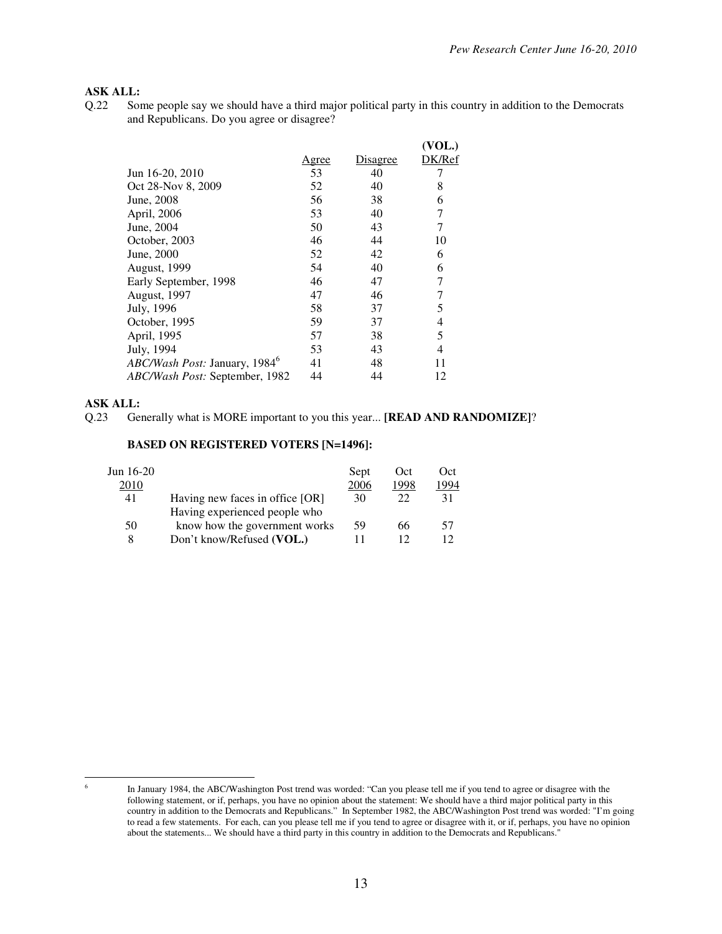### **ASK ALL:**

Q.22 Some people say we should have a third major political party in this country in addition to the Democrats and Republicans. Do you agree or disagree?

|                                           |       |          | (VOL.) |
|-------------------------------------------|-------|----------|--------|
|                                           | Agree | Disagree | DK/Ref |
| Jun 16-20, 2010                           | 53    | 40       |        |
| Oct 28-Nov 8, 2009                        | 52    | 40       | 8      |
| June, 2008                                | 56    | 38       | 6      |
| April, 2006                               | 53    | 40       |        |
| June, 2004                                | 50    | 43       | 7      |
| October, 2003                             | 46    | 44       | 10     |
| June, 2000                                | 52    | 42       | 6      |
| August, 1999                              | 54    | 40       | 6      |
| Early September, 1998                     | 46    | 47       |        |
| <b>August, 1997</b>                       | 47    | 46       |        |
| July, 1996                                | 58    | 37       | 5      |
| October, 1995                             | 59    | 37       | 4      |
| April, 1995                               | 57    | 38       | 5      |
| July, 1994                                | 53    | 43       | 4      |
| ABC/Wash Post: January, 1984 <sup>6</sup> | 41    | 48       | 11     |
| ABC/Wash Post: September, 1982            | 44    | 44       | 12     |
|                                           |       |          |        |

#### **ASK ALL:**

|                                 | Sept | Oct  | Oct  |
|---------------------------------|------|------|------|
|                                 | 2006 | 1998 | 1994 |
| Having new faces in office [OR] | 30   | 22   | 31   |
| Having experienced people who   |      |      |      |
| know how the government works   | -59  | 66   | 57   |
| Don't know/Refused (VOL.)       |      |      |      |
|                                 |      |      |      |

Q.23 Generally what is MORE important to you this year... **[READ AND RANDOMIZE]**?

 6

In January 1984, the ABC/Washington Post trend was worded: "Can you please tell me if you tend to agree or disagree with the following statement, or if, perhaps, you have no opinion about the statement: We should have a third major political party in this country in addition to the Democrats and Republicans." In September 1982, the ABC/Washington Post trend was worded: "I'm going to read a few statements. For each, can you please tell me if you tend to agree or disagree with it, or if, perhaps, you have no opinion about the statements... We should have a third party in this country in addition to the Democrats and Republicans."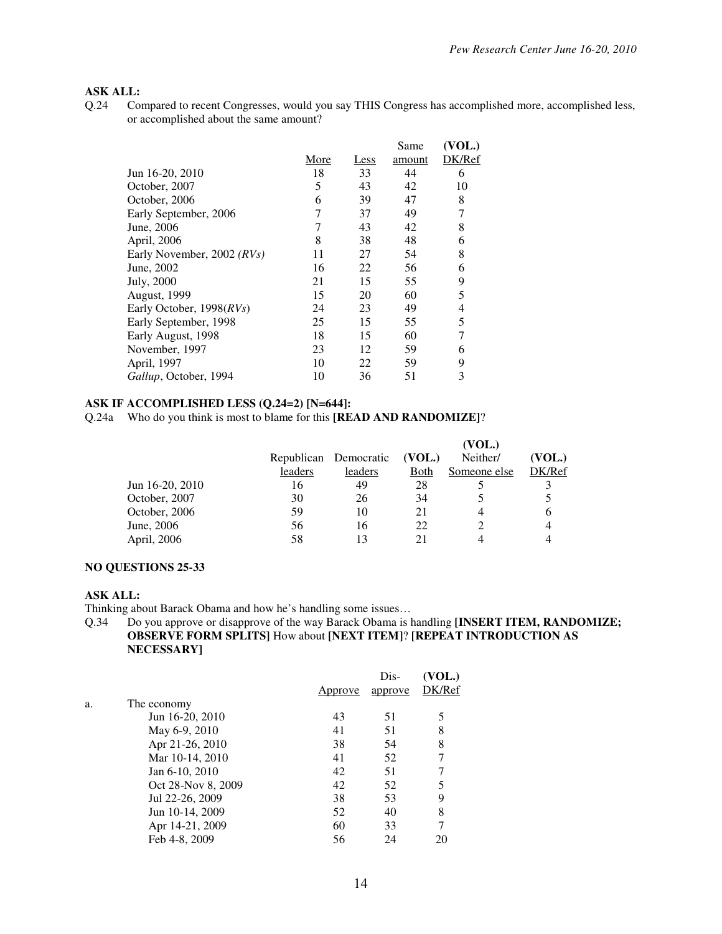# **ASK ALL:**<br>0.24 Co

Compared to recent Congresses, would you say THIS Congress has accomplished more, accomplished less, or accomplished about the same amount?

|                            |      |      | Same   | (VOL.) |
|----------------------------|------|------|--------|--------|
|                            | More | Less | amount | DK/Ref |
| Jun 16-20, 2010            | 18   | 33   | 44     | 6      |
| October, 2007              | 5    | 43   | 42     | 10     |
| October, 2006              | 6    | 39   | 47     | 8      |
| Early September, 2006      |      | 37   | 49     | 7      |
| June, 2006                 |      | 43   | 42     | 8      |
| April, 2006                | 8    | 38   | 48     | 6      |
| Early November, 2002 (RVs) | 11   | 27   | 54     | 8      |
| June, 2002                 | 16   | 22   | 56     | 6      |
| July, 2000                 | 21   | 15   | 55     | 9      |
| <b>August</b> , 1999       | 15   | 20   | 60     | 5      |
| Early October, 1998(RVs)   | 24   | 23   | 49     | 4      |
| Early September, 1998      | 25   | 15   | 55     | 5      |
| Early August, 1998         | 18   | 15   | 60     | 7      |
| November, 1997             | 23   | 12   | 59     | 6      |
| April, 1997                | 10   | 22   | 59     | 9      |
| Gallup, October, 1994      | 10   | 36   | 51     | 3      |

#### **ASK IF ACCOMPLISHED LESS (Q.24=2) [N=644]:**

Q.24a Who do you think is most to blame for this **[READ AND RANDOMIZE]**?

|                 |         |                       |             | (VOL.)       |        |
|-----------------|---------|-----------------------|-------------|--------------|--------|
|                 |         | Republican Democratic | (VOL.)      | Neither/     | (VOL.) |
|                 | leaders | leaders               | <b>Both</b> | Someone else | DK/Ref |
| Jun 16-20, 2010 | 16      | 49                    | 28          |              |        |
| October, 2007   | 30      | 26                    | 34          |              |        |
| October, 2006   | 59      | 10                    | 21          |              | h      |
| June, 2006      | 56      | 16                    | 22          |              |        |
| April, 2006     | 58      | 13                    |             |              |        |

#### **NO QUESTIONS 25-33**

#### **ASK ALL:**

Thinking about Barack Obama and how he's handling some issues…

#### Q.34 Do you approve or disapprove of the way Barack Obama is handling **[INSERT ITEM, RANDOMIZE; OBSERVE FORM SPLITS]** How about **[NEXT ITEM]**? **[REPEAT INTRODUCTION AS NECESSARY]**

|    |                    | Approve | Dis-<br>approve | (VOL.)<br>DK/Ref |
|----|--------------------|---------|-----------------|------------------|
| a. | The economy        |         |                 |                  |
|    | Jun 16-20, 2010    | 43      | 51              |                  |
|    | May 6-9, 2010      | 41      | 51              | 8                |
|    | Apr 21-26, 2010    | 38      | 54              | 8                |
|    | Mar 10-14, 2010    | 41      | 52              |                  |
|    | Jan 6-10, 2010     | 42      | 51              |                  |
|    | Oct 28-Nov 8, 2009 | 42      | 52              |                  |
|    | Jul 22-26, 2009    | 38      | 53              | 9                |
|    | Jun 10-14, 2009    | 52      | 40              | 8                |
|    | Apr 14-21, 2009    | 60      | 33              |                  |
|    | Feb 4-8, 2009      | 56      | 24              |                  |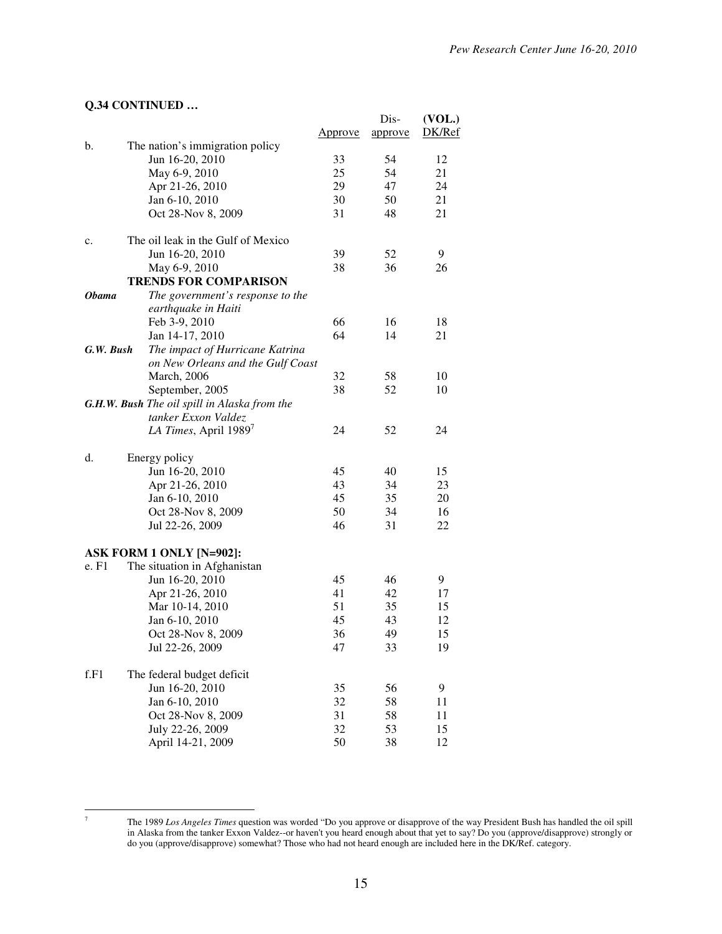# **Q.34 CONTINUED …**

|              | $\mathbf{v}$ . The set of $\mathbf{v}$ and $\mathbf{v}$ and $\mathbf{v}$ |                | Dis-    | (VOL.) |
|--------------|--------------------------------------------------------------------------|----------------|---------|--------|
|              |                                                                          | <u>Approve</u> | approve | DK/Ref |
| b.           | The nation's immigration policy                                          |                | 54      |        |
|              | Jun 16-20, 2010                                                          | 33             |         | 12     |
|              | May 6-9, 2010                                                            | 25             | 54      | 21     |
|              | Apr 21-26, 2010                                                          | 29             | 47      | 24     |
|              | Jan 6-10, 2010                                                           | 30             | 50      | 21     |
|              | Oct 28-Nov 8, 2009                                                       | 31             | 48      | 21     |
| c.           | The oil leak in the Gulf of Mexico                                       |                |         |        |
|              | Jun 16-20, 2010                                                          | 39             | 52      | 9      |
|              | May 6-9, 2010                                                            | 38             | 36      | 26     |
|              | <b>TRENDS FOR COMPARISON</b>                                             |                |         |        |
| <b>Obama</b> | The government's response to the                                         |                |         |        |
|              | earthquake in Haiti                                                      |                |         |        |
|              | Feb 3-9, 2010                                                            | 66             | 16      | 18     |
|              | Jan 14-17, 2010                                                          | 64             | 14      | 21     |
| G.W. Bush    | The impact of Hurricane Katrina                                          |                |         |        |
|              | on New Orleans and the Gulf Coast                                        |                |         |        |
|              | <b>March</b> , 2006                                                      | 32             | 58      | 10     |
|              | September, 2005                                                          | 38             | 52      | 10     |
|              | G.H.W. Bush The oil spill in Alaska from the                             |                |         |        |
|              | tanker Exxon Valdez                                                      |                |         |        |
|              | LA Times, April $1989^7$                                                 | 24             | 52      | 24     |
| d.           | Energy policy                                                            |                |         |        |
|              | Jun 16-20, 2010                                                          | 45             | 40      | 15     |
|              | Apr 21-26, 2010                                                          | 43             | 34      | 23     |
|              | Jan 6-10, 2010                                                           | 45             | 35      | 20     |
|              | Oct 28-Nov 8, 2009                                                       | 50             | 34      | 16     |
|              | Jul 22-26, 2009                                                          | 46             | 31      | 22     |
|              | <b>ASK FORM 1 ONLY [N=902]:</b>                                          |                |         |        |
| e. F1        | The situation in Afghanistan                                             |                |         |        |
|              | Jun 16-20, 2010                                                          | 45             | 46      | 9      |
|              | Apr 21-26, 2010                                                          | 41             | 42      | 17     |
|              | Mar 10-14, 2010                                                          | 51             | 35      | 15     |
|              | Jan 6-10, 2010                                                           | 45             | 43      | 12     |
|              |                                                                          | 36             | 49      | 15     |
|              | Oct 28-Nov 8, 2009                                                       | 47             |         | 19     |
|              | Jul 22-26, 2009                                                          |                | 33      |        |
| f.F1         | The federal budget deficit                                               |                |         |        |
|              | Jun 16-20, 2010                                                          | 35             | 56      | 9      |
|              | Jan 6-10, 2010                                                           | 32             | 58      | 11     |
|              | Oct 28-Nov 8, 2009                                                       | 31             | 58      | 11     |
|              | July 22-26, 2009                                                         | 32             | 53      | 15     |
|              | April 14-21, 2009                                                        | 50             | 38      | 12     |

-<br>7

The 1989 *Los Angeles Times* question was worded "Do you approve or disapprove of the way President Bush has handled the oil spill in Alaska from the tanker Exxon Valdez--or haven't you heard enough about that yet to say? Do you (approve/disapprove) strongly or do you (approve/disapprove) somewhat? Those who had not heard enough are included here in the DK/Ref. category.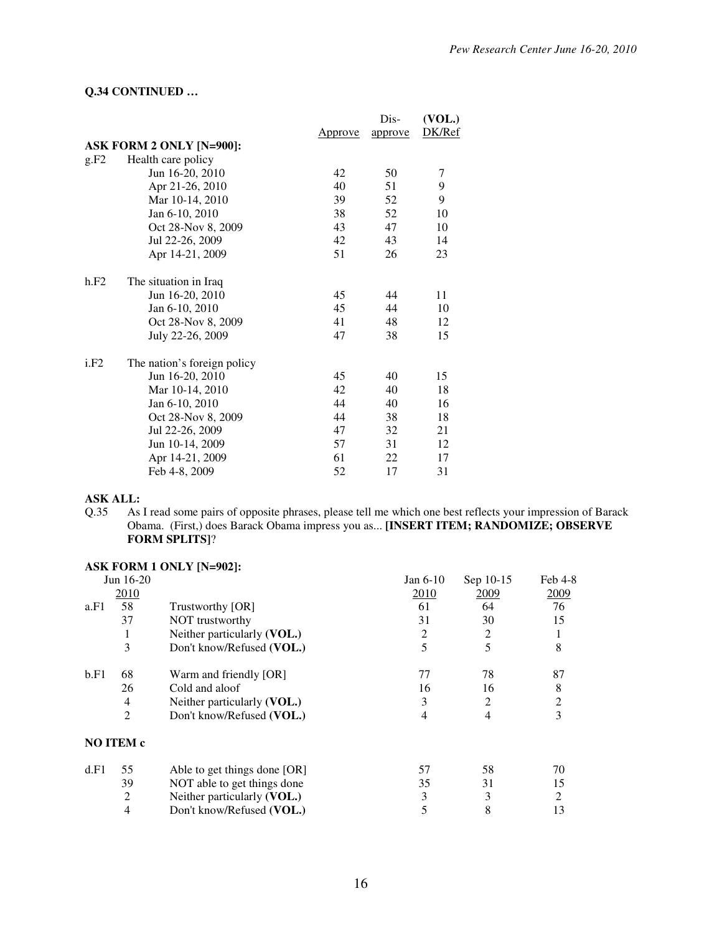### **Q.34 CONTINUED …**

|      |                             |                | Dis-    | (VOL.) |
|------|-----------------------------|----------------|---------|--------|
|      |                             | <u>Approve</u> | approve | DK/Ref |
|      | ASK FORM 2 ONLY [N=900]:    |                |         |        |
| g.F2 | Health care policy          |                |         |        |
|      | Jun 16-20, 2010             | 42             | 50      | 7      |
|      | Apr 21-26, 2010             | 40             | 51      | 9      |
|      | Mar 10-14, 2010             | 39             | 52      | 9      |
|      | Jan 6-10, 2010              | 38             | 52      | 10     |
|      | Oct 28-Nov 8, 2009          | 43             | 47      | 10     |
|      | Jul 22-26, 2009             | 42             | 43      | 14     |
|      | Apr 14-21, 2009             | 51             | 26      | 23     |
| h.F2 | The situation in Iraq       |                |         |        |
|      | Jun 16-20, 2010             | 45             | 44      | 11     |
|      | Jan 6-10, 2010              | 45             | 44      | 10     |
|      | Oct 28-Nov 8, 2009          | 41             | 48      | 12     |
|      | July 22-26, 2009            | 47             | 38      | 15     |
| i.F2 | The nation's foreign policy |                |         |        |
|      | Jun 16-20, 2010             | 45             | 40      | 15     |
|      | Mar 10-14, 2010             | 42             | 40      | 18     |
|      | Jan 6-10, 2010              | 44             | 40      | 16     |
|      | Oct 28-Nov 8, 2009          | 44             | 38      | 18     |
|      | Jul 22-26, 2009             | 47             | 32      | 21     |
|      | Jun 10-14, 2009             | 57             | 31      | 12     |
|      | Apr 14-21, 2009             | 61             | 22      | 17     |
|      | Feb 4-8, 2009               | 52             | 17      | 31     |

**ASK ALL:**<br>Q.35 As l As I read some pairs of opposite phrases, please tell me which one best reflects your impression of Barack Obama. (First,) does Barack Obama impress you as... **[INSERT ITEM; RANDOMIZE; OBSERVE FORM SPLITS]**?

# **ASK FORM 1 ONLY [N=902]:**

|      | Jun 16-20      |                              | Jan $6-10$  | Sep 10-15 | $Feb$ 4-8 |
|------|----------------|------------------------------|-------------|-----------|-----------|
|      | 2010           |                              | <b>2010</b> | 2009      | 2009      |
| a.F1 | 58             | Trustworthy [OR]             | 61          | 64        | 76        |
|      | 37             | NOT trustworthy              | 31          | 30        | 15        |
|      | 1              | Neither particularly (VOL.)  | 2           | 2         |           |
|      | 3              | Don't know/Refused (VOL.)    | 5           | 5         | 8         |
| b.F1 | 68             | Warm and friendly [OR]       | 77          | 78        | 87        |
|      | 26             | Cold and aloof               | 16          | 16        | 8         |
|      | 4              | Neither particularly (VOL.)  | 3           | 2         | 2         |
|      | $\overline{2}$ | Don't know/Refused (VOL.)    | 4           | 4         | 3         |
|      | NO ITEM c      |                              |             |           |           |
| d.F1 | 55             | Able to get things done [OR] | 57          | 58        | 70        |
|      | 39             | NOT able to get things done  | 35          | 31        | 15        |
|      | 2              | Neither particularly (VOL.)  | 3           | 3         | 2         |
|      | $\overline{4}$ | Don't know/Refused (VOL.)    | 5           | 8         | 13        |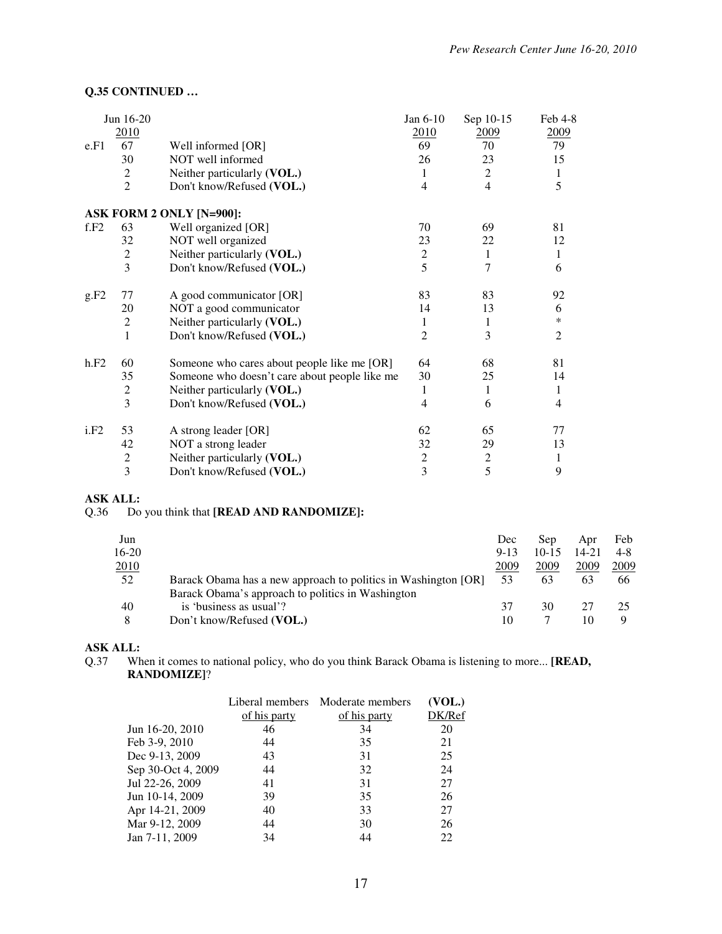## **Q.35 CONTINUED …**

|      | Jun 16-20               |                                               | Jan 6-10       | Sep 10-15      | $Feb$ 4-8      |
|------|-------------------------|-----------------------------------------------|----------------|----------------|----------------|
|      | 2010                    |                                               | 2010           | 2009           | 2009           |
| e.F1 | 67                      | Well informed [OR]                            | 69             | 70             | 79             |
|      | 30                      | NOT well informed                             | 26             | 23             | 15             |
|      | $\overline{2}$          | Neither particularly (VOL.)                   | 1              | 2              | $\mathbf{1}$   |
|      | $\overline{c}$          | Don't know/Refused (VOL.)                     | $\overline{4}$ | $\overline{4}$ | 5              |
|      |                         | ASK FORM 2 ONLY [N=900]:                      |                |                |                |
| f.F2 | 63                      | Well organized [OR]                           | 70             | 69             | 81             |
|      | 32                      | NOT well organized                            | 23             | 22             | 12             |
|      | $\overline{c}$          | Neither particularly (VOL.)                   | $\overline{c}$ | 1              | 1              |
|      | 3                       | Don't know/Refused (VOL.)                     | 5              | 7              | 6              |
| g.F2 | 77                      | A good communicator [OR]                      | 83             | 83             | 92             |
|      | 20                      | NOT a good communicator                       | 14             | 13             | 6              |
|      | $\overline{2}$          | Neither particularly (VOL.)                   | 1              | 1              | $\ast$         |
|      | $\mathbf{1}$            | Don't know/Refused (VOL.)                     | $\overline{2}$ | 3              | $\overline{2}$ |
| h.F2 | 60                      | Someone who cares about people like me [OR]   | 64             | 68             | 81             |
|      | 35                      | Someone who doesn't care about people like me | 30             | 25             | 14             |
|      | $\overline{c}$          | Neither particularly (VOL.)                   | 1              | 1              | 1              |
|      | 3                       | Don't know/Refused (VOL.)                     | 4              | 6              | $\overline{4}$ |
| i.F2 | 53                      | A strong leader [OR]                          | 62             | 65             | 77             |
|      | 42                      | NOT a strong leader                           | 32             | 29             | 13             |
|      | $\boldsymbol{2}$        | Neither particularly (VOL.)                   | $\mathfrak{2}$ | $\mathfrak{2}$ | 1              |
|      | $\overline{\mathbf{3}}$ | Don't know/Refused (VOL.)                     | 3              | 5              | 9              |

#### **ASK ALL:**

### Q.36 Do you think that **[READ AND RANDOMIZE]:**

| Jun     |                                                                | Dec      | Sep       | Apr   | Feb     |
|---------|----------------------------------------------------------------|----------|-----------|-------|---------|
| $16-20$ |                                                                | $9 - 13$ | $10 - 15$ | 14-21 | $4 - 8$ |
| 2010    |                                                                | 2009     | 2009      | 2009  | 2009    |
| 52      | Barack Obama has a new approach to politics in Washington [OR] | 53       | 63        | 63    | 66      |
|         | Barack Obama's approach to politics in Washington              |          |           |       |         |
| 40      | is 'business as usual'?                                        | 37       | 30        | 27    |         |
| 8       | Don't know/Refused (VOL.)                                      |          |           | 10    |         |

# **ASK ALL:**<br>Q.37 Wh

When it comes to national policy, who do you think Barack Obama is listening to more... [READ, **RANDOMIZE]**?

|                    | Liberal members | Moderate members | (VOL.) |
|--------------------|-----------------|------------------|--------|
|                    | of his party    | of his party     | DK/Ref |
| Jun 16-20, 2010    | 46              | 34               | 20     |
| Feb 3-9, 2010      | 44              | 35               | 21     |
| Dec 9-13, 2009     | 43              | 31               | 25     |
| Sep 30-Oct 4, 2009 | 44              | 32               | 24     |
| Jul 22-26, 2009    | 41              | 31               | 27     |
| Jun 10-14, 2009    | 39              | 35               | 26     |
| Apr 14-21, 2009    | 40              | 33               | 27     |
| Mar 9-12, 2009     | 44              | 30               | 26     |
| Jan 7-11, 2009     | 34              | 44               | 22     |
|                    |                 |                  |        |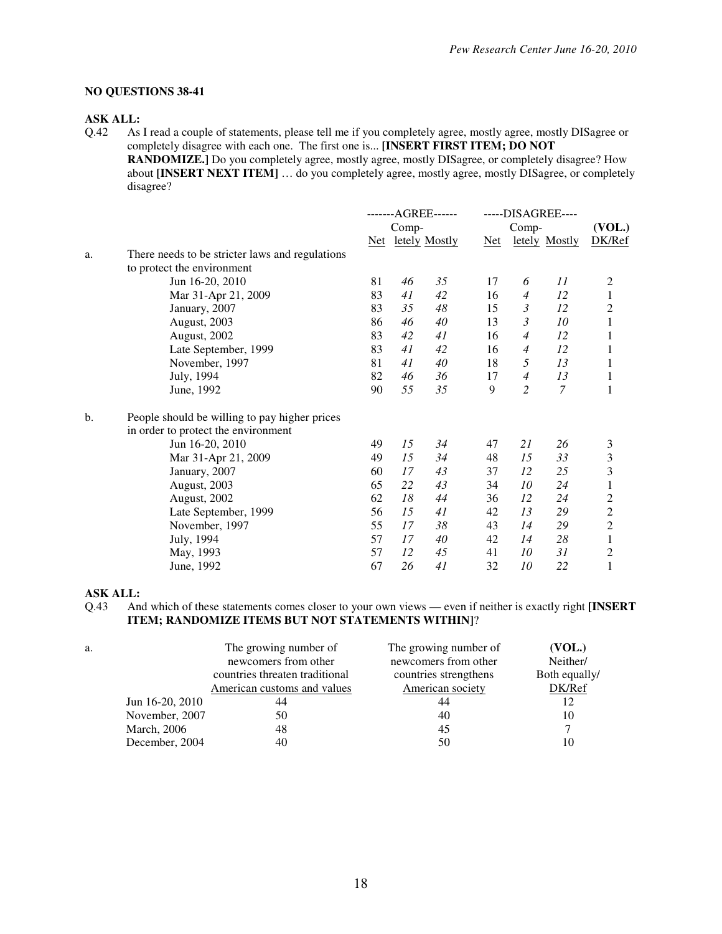#### **NO QUESTIONS 38-41**

# **ASK ALL:**<br>Q.42 As

As I read a couple of statements, please tell me if you completely agree, mostly agree, mostly DISagree or completely disagree with each one. The first one is... **[INSERT FIRST ITEM; DO NOT** 

**RANDOMIZE.]** Do you completely agree, mostly agree, mostly DISagree, or completely disagree? How about **[INSERT NEXT ITEM]** ... do you completely agree, mostly agree, mostly DISagree, or completely disagree?

|               |                                                 | -------AGREE------ |       | -----DISAGREE---- |       |                |               |                                            |
|---------------|-------------------------------------------------|--------------------|-------|-------------------|-------|----------------|---------------|--------------------------------------------|
|               |                                                 |                    | Comp- |                   | Comp- |                |               | (VOL.)                                     |
|               |                                                 | Net                |       | letely Mostly     | Net   |                | letely Mostly | DK/Ref                                     |
| a.            | There needs to be stricter laws and regulations |                    |       |                   |       |                |               |                                            |
|               | to protect the environment                      |                    |       |                   |       |                |               |                                            |
|               | Jun 16-20, 2010                                 | 81                 | 46    | 35                | 17    | 6              | 11            | 2                                          |
|               | Mar 31-Apr 21, 2009                             | 83                 | 41    | 42                | 16    | $\overline{4}$ | 12            | $\,1$                                      |
|               | January, 2007                                   | 83                 | 35    | 48                | 15    | $\mathfrak{Z}$ | 12            |                                            |
|               | August, 2003                                    | 86                 | 46    | 40                | 13    | 3              | $10\,$        | $\frac{2}{1}$                              |
|               | August, 2002                                    | 83                 | 42    | 41                | 16    | $\overline{4}$ | 12            |                                            |
|               | Late September, 1999                            | 83                 | 41    | 42                | 16    | $\overline{4}$ | 12            | 1                                          |
|               | November, 1997                                  | 81                 | 41    | 40                | 18    | 5              | 13            | 1                                          |
|               | July, 1994                                      | 82                 | 46    | 36                | 17    | $\overline{4}$ | 13            | 1                                          |
|               | June, 1992                                      | 90                 | 55    | 35                | 9     | 2              | $\mathcal{I}$ | 1                                          |
| $\mathbf b$ . | People should be willing to pay higher prices   |                    |       |                   |       |                |               |                                            |
|               | in order to protect the environment             |                    |       |                   |       |                |               |                                            |
|               | Jun 16-20, 2010                                 | 49                 | 15    | 34                | 47    | 21             | 26            | 3                                          |
|               | Mar 31-Apr 21, 2009                             | 49                 | 15    | 34                | 48    | 15             | 33            | 3                                          |
|               | January, 2007                                   | 60                 | 17    | 43                | 37    | 12             | 25            | 3                                          |
|               | August, 2003                                    | 65                 | 22    | 43                | 34    | 10             | 24            | $\,1$                                      |
|               | August, 2002                                    | 62                 | 18    | 44                | 36    | 12             | 24            |                                            |
|               | Late September, 1999                            | 56                 | 15    | 41                | 42    | 13             | 29            |                                            |
|               | November, 1997                                  | 55                 | 17    | 38                | 43    | 14             | 29            | $\begin{array}{c} 2 \\ 2 \\ 2 \end{array}$ |
|               | July, 1994                                      | 57                 | 17    | 40                | 42    | 14             | 28            | $\,1$                                      |
|               | May, 1993                                       | 57                 | 12    | 45                | 41    | 10             | 31            | $\overline{c}$                             |
|               | June, 1992                                      | 67                 | 26    | 41                | 32    | 10             | 22            | $\mathbf{1}$                               |

#### **ASK ALL:**

Q.43 And which of these statements comes closer to your own views — even if neither is exactly right **[INSERT ITEM; RANDOMIZE ITEMS BUT NOT STATEMENTS WITHIN]**?

| a.              | The growing number of          | The growing number of | (VOL.)        |
|-----------------|--------------------------------|-----------------------|---------------|
|                 | newcomers from other           | newcomers from other  | Neither/      |
|                 | countries threaten traditional | countries strengthens | Both equally/ |
|                 | American customs and values    | American society      | DK/Ref        |
| Jun 16-20, 2010 | 44                             | 44                    | 12            |
| November, 2007  | 50                             | 40                    | 10            |
| March, 2006     | 48                             | 45                    |               |
| December, 2004  | 40                             | 50                    | 10            |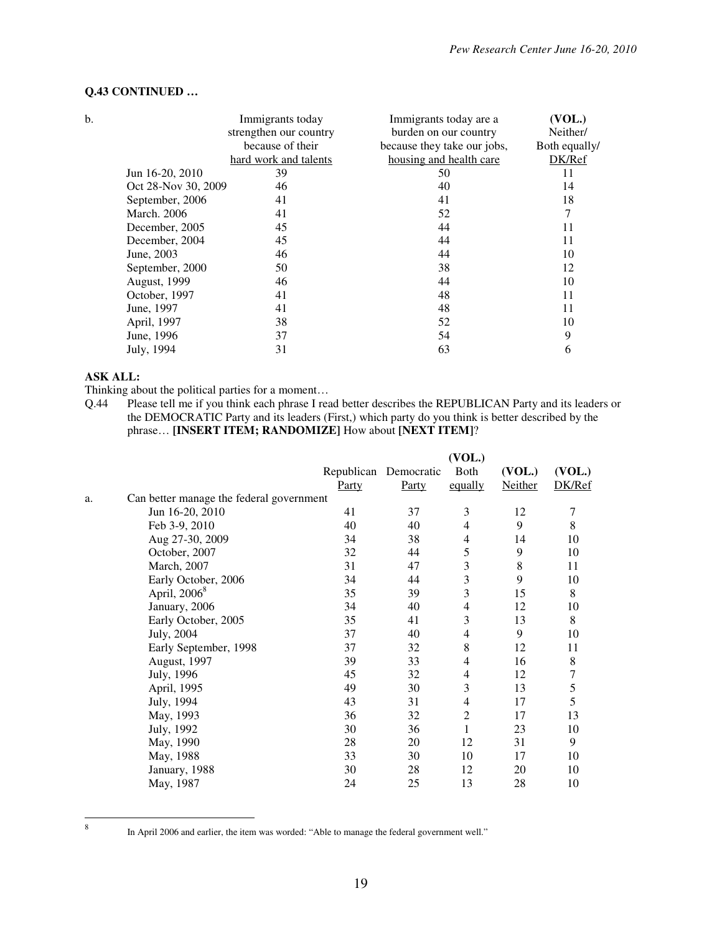| b. |                     | Immigrants today       | Immigrants today are a      | (VOL.)        |
|----|---------------------|------------------------|-----------------------------|---------------|
|    |                     | strengthen our country | burden on our country       | Neither/      |
|    |                     | because of their       | because they take our jobs, | Both equally/ |
|    |                     | hard work and talents  | housing and health care     | DK/Ref        |
|    | Jun 16-20, 2010     | 39                     | 50                          | 11            |
|    | Oct 28-Nov 30, 2009 | 46                     | 40                          | 14            |
|    | September, 2006     | 41                     | 41                          | 18            |
|    | <b>March.</b> 2006  | 41                     | 52                          | 7             |
|    | December, 2005      | 45                     | 44                          | 11            |
|    | December, 2004      | 45                     | 44                          | 11            |
|    | June, 2003          | 46                     | 44                          | 10            |
|    | September, 2000     | 50                     | 38                          | 12            |
|    | <b>August, 1999</b> | 46                     | 44                          | 10            |
|    | October, 1997       | 41                     | 48                          | 11            |
|    | June, 1997          | 41                     | 48                          | 11            |
|    | April, 1997         | 38                     | 52                          | 10            |
|    | June, 1996          | 37                     | 54                          | 9             |
|    | July, 1994          | 31                     | 63                          | 6             |

#### **Q.43 CONTINUED …**

### **ASK ALL:**

Thinking about the political parties for a moment...<br>Q.44 Please tell me if you think each phrase I real

Please tell me if you think each phrase I read better describes the REPUBLICAN Party and its leaders or the DEMOCRATIC Party and its leaders (First,) which party do you think is better described by the phrase… **[INSERT ITEM; RANDOMIZE]** How about **[NEXT ITEM]**?

|    |                                          |       |                       | (VOL.)         |                |         |
|----|------------------------------------------|-------|-----------------------|----------------|----------------|---------|
|    |                                          |       | Republican Democratic | Both           | (VOL.)         | (VOL.)  |
|    |                                          | Party | Party                 | equally        | <b>Neither</b> | DK/Ref  |
| a. | Can better manage the federal government |       |                       |                |                |         |
|    | Jun 16-20, 2010                          | 41    | 37                    | 3              | 12             | 7       |
|    | Feb 3-9, 2010                            | 40    | 40                    | 4              | 9              | 8       |
|    | Aug 27-30, 2009                          | 34    | 38                    | 4              | 14             | 10      |
|    | October, 2007                            | 32    | 44                    | 5              | 9              | 10      |
|    | March, 2007                              | 31    | 47                    | $\mathfrak{Z}$ | 8              | 11      |
|    | Early October, 2006                      | 34    | 44                    | 3              | 9              | 10      |
|    | April, 2006 <sup>8</sup>                 | 35    | 39                    | 3              | 15             | 8       |
|    | January, 2006                            | 34    | 40                    | 4              | 12             | 10      |
|    | Early October, 2005                      | 35    | 41                    | 3              | 13             | 8       |
|    | July, 2004                               | 37    | 40                    | 4              | 9              | 10      |
|    | Early September, 1998                    | 37    | 32                    | 8              | 12             | 11      |
|    | August, 1997                             | 39    | 33                    | 4              | 16             | $\,8\,$ |
|    | July, 1996                               | 45    | 32                    | 4              | 12             | $\tau$  |
|    | April, 1995                              | 49    | 30                    | 3              | 13             | 5       |
|    | July, 1994                               | 43    | 31                    | 4              | 17             | 5       |
|    | May, 1993                                | 36    | 32                    | $\overline{c}$ | 17             | 13      |
|    | July, 1992                               | 30    | 36                    | $\mathbf{1}$   | 23             | 10      |
|    | May, 1990                                | 28    | 20                    | 12             | 31             | 9       |
|    | May, 1988                                | 33    | 30                    | 10             | 17             | 10      |
|    | January, 1988                            | 30    | 28                    | 12             | 20             | 10      |
|    | May, 1987                                | 24    | 25                    | 13             | 28             | 10      |
|    |                                          |       |                       |                |                |         |

 8

In April 2006 and earlier, the item was worded: "Able to manage the federal government well."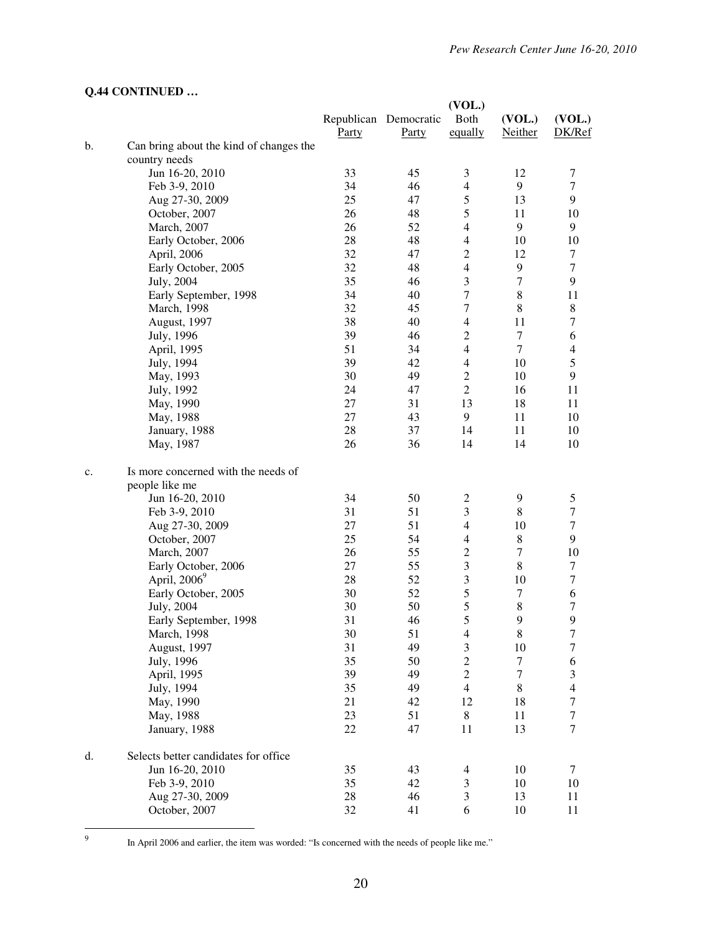|  |  | Q.44 CONTINUED |  |
|--|--|----------------|--|
|--|--|----------------|--|

|    |                                         |          |                       | (VOL.)              |                  |                         |
|----|-----------------------------------------|----------|-----------------------|---------------------|------------------|-------------------------|
|    |                                         |          | Republican Democratic | Both                | (VOL.)           | (VOL.)                  |
|    |                                         | Party    | <b>Party</b>          | equally             | <b>Neither</b>   | DK/Ref                  |
| b. | Can bring about the kind of changes the |          |                       |                     |                  |                         |
|    | country needs                           |          |                       |                     |                  |                         |
|    | Jun 16-20, 2010                         | 33       | 45                    | 3                   | 12               | 7                       |
|    | Feb 3-9, 2010                           | 34       | 46                    | $\overline{4}$      | 9                | $\tau$                  |
|    | Aug 27-30, 2009                         | 25       | 47                    | 5                   | 13               | 9                       |
|    | October, 2007                           | 26       | 48                    | 5                   | 11               | 10                      |
|    | March, 2007                             | 26       | 52                    | $\overline{4}$      | 9                | 9                       |
|    | Early October, 2006                     | 28       | 48                    | $\overline{4}$      | 10               | 10                      |
|    | April, 2006                             | 32       | 47                    | $\overline{2}$      | 12               | 7                       |
|    | Early October, 2005                     | 32       | 48                    | $\overline{4}$      | 9                | $\tau$                  |
|    | July, 2004                              | 35       | 46                    | 3                   | 7                | 9                       |
|    | Early September, 1998                   | 34       | 40                    | 7                   | 8                | 11                      |
|    | March, 1998                             | 32       | 45                    | 7                   | 8                | $\,8\,$                 |
|    | August, 1997                            | 38       | 40                    | $\overline{4}$      | 11               | $\tau$                  |
|    | July, 1996                              | 39       | 46                    | $\overline{2}$      | $\tau$           | 6                       |
|    | April, 1995                             | 51       | 34                    | $\overline{4}$      | $\tau$           | $\overline{4}$          |
|    | July, 1994                              | 39       | 42                    | $\overline{4}$      | 10               | $\mathfrak s$           |
|    |                                         | 30       | 49                    | $\overline{c}$      | 10               | 9                       |
|    | May, 1993                               | 24       |                       | $\overline{2}$      |                  | 11                      |
|    | July, 1992                              | 27       | 47<br>31              |                     | 16<br>18         |                         |
|    | May, 1990                               |          |                       | 13                  |                  | 11                      |
|    | May, 1988                               | 27       | 43                    | 9                   | 11               | 10                      |
|    | January, 1988                           | 28       | 37                    | 14                  | 11               | 10                      |
|    | May, 1987                               | 26       | 36                    | 14                  | 14               | 10                      |
| c. | Is more concerned with the needs of     |          |                       |                     |                  |                         |
|    | people like me                          |          |                       |                     |                  |                         |
|    | Jun 16-20, 2010                         | 34       | 50                    | $\overline{c}$      | 9                | 5                       |
|    | Feb 3-9, 2010                           | 31       | 51                    | $\mathfrak{Z}$      | $\,8\,$          | 7                       |
|    | Aug 27-30, 2009                         | 27       | 51                    | $\overline{4}$      | 10               | $\tau$                  |
|    | October, 2007                           | 25       | 54                    | 4                   | $\,8\,$          | 9                       |
|    | March, 2007                             | 26       | 55                    | $\overline{c}$      | $\tau$           | 10                      |
|    | Early October, 2006                     | 27       | 55                    | $\mathfrak{Z}$      | $\,8$            | 7                       |
|    | April, $2006^9$                         | 28       | 52                    | 3                   | 10               | $\tau$                  |
|    | Early October, 2005                     | 30       | 52                    | 5                   | $\tau$           | 6                       |
|    | July, 2004                              | 30       | 50                    | 5                   | $\,$ 8 $\,$      | $\tau$                  |
|    | Early September, 1998                   | 31       | 46                    | 5                   | 9                | 9                       |
|    |                                         |          |                       |                     |                  |                         |
|    | March, 1998<br>August, 1997             | 30<br>31 | 51<br>49              | $\overline{4}$<br>3 | 8<br>10          | 7<br>$\tau$             |
|    |                                         | 35       | 50                    | $\overline{c}$      | $\tau$           | 6                       |
|    | July, 1996                              | 39       |                       | $\sqrt{2}$          | $\boldsymbol{7}$ |                         |
|    | April, 1995                             |          | 49                    |                     |                  | 3                       |
|    | July, 1994                              | 35       | 49                    | $\overline{4}$      | 8                | $\overline{\mathbf{4}}$ |
|    | May, 1990                               | 21       | 42                    | 12                  | 18               | $\boldsymbol{7}$        |
|    | May, 1988                               | 23       | 51                    | $\,$ 8 $\,$         | 11               | $\boldsymbol{7}$        |
|    | January, 1988                           | 22       | 47                    | 11                  | 13               | $\tau$                  |
| d. | Selects better candidates for office    |          |                       |                     |                  |                         |
|    | Jun 16-20, 2010                         | 35       | 43                    | 4                   | 10               | 7                       |
|    | Feb 3-9, 2010                           | 35       | 42                    | $\mathfrak{Z}$      | 10               | 10                      |
|    | Aug 27-30, 2009                         | 28       | 46                    | 3                   | 13               | 11                      |
|    | October, 2007                           | 32       | 41                    | 6                   | 10               | 11                      |
|    |                                         |          |                       |                     |                  |                         |

<sup>&</sup>lt;sup>9</sup>

In April 2006 and earlier, the item was worded: "Is concerned with the needs of people like me."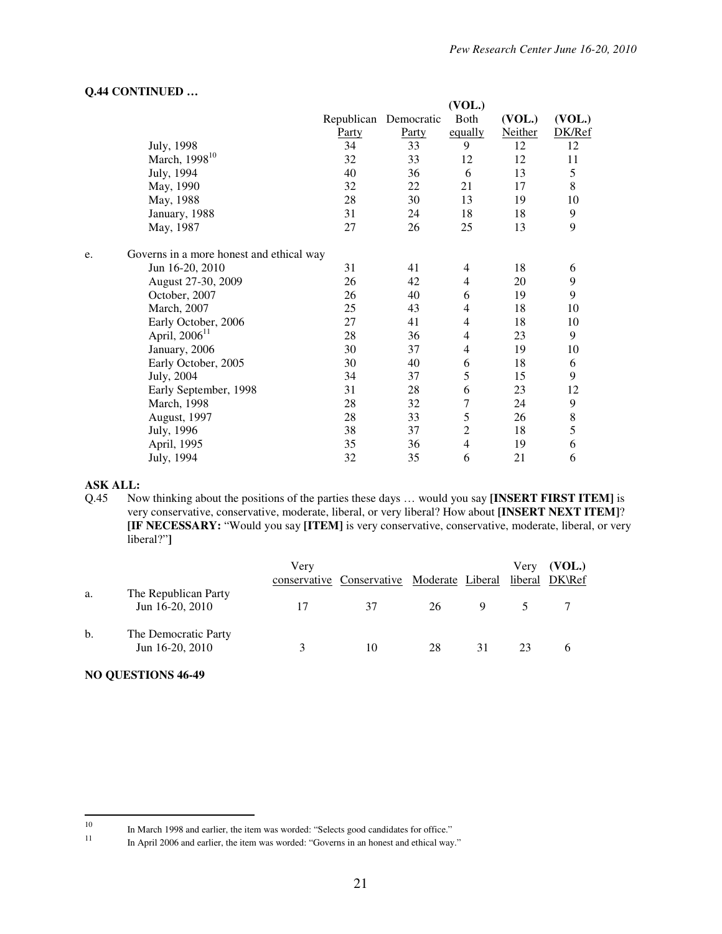|                                                |       |                       | (VOL.)         |                |               |
|------------------------------------------------|-------|-----------------------|----------------|----------------|---------------|
|                                                |       | Republican Democratic | Both           | (VOL.)         | (VOL.)        |
|                                                | Party | Party                 | equally        | <b>Neither</b> | DK/Ref        |
| July, 1998                                     | 34    | 33                    | 9              | 12             | 12            |
| March, 1998 <sup>10</sup>                      | 32    | 33                    | 12             | 12             | 11            |
| July, 1994                                     | 40    | 36                    | 6              | 13             | 5             |
| May, 1990                                      | 32    | 22                    | 21             | 17             | 8             |
| May, 1988                                      | 28    | 30                    | 13             | 19             | 10            |
| January, 1988                                  | 31    | 24                    | 18             | 18             | 9             |
| May, 1987                                      | 27    | 26                    | 25             | 13             | 9             |
| Governs in a more honest and ethical way<br>e. |       |                       |                |                |               |
| Jun 16-20, 2010                                | 31    | 41                    | 4              | 18             | 6             |
| August 27-30, 2009                             | 26    | 42                    | $\overline{4}$ | 20             | 9             |
| October, 2007                                  | 26    | 40                    | 6              | 19             | 9             |
| March, 2007                                    | 25    | 43                    | $\overline{4}$ | 18             | 10            |
| Early October, 2006                            | 27    | 41                    | 4              | 18             | 10            |
| April, 2006 <sup>11</sup>                      | 28    | 36                    | $\overline{4}$ | 23             | 9             |
| January, 2006                                  | 30    | 37                    | $\overline{4}$ | 19             | 10            |
| Early October, 2005                            | 30    | 40                    | 6              | 18             | 6             |
| July, 2004                                     | 34    | 37                    | 5              | 15             | 9             |
| Early September, 1998                          | 31    | 28                    | 6              | 23             | 12            |
| March, 1998                                    | 28    | 32                    | $\overline{7}$ | 24             | 9             |
| August, 1997                                   | 28    | 33                    | 5              | 26             | $\,$ 8 $\,$   |
| July, 1996                                     | 38    | 37                    | $\overline{2}$ | 18             | $\mathfrak s$ |
| April, 1995                                    | 35    | 36                    | $\overline{4}$ | 19             | 6             |
| July, 1994                                     | 32    | 35                    | 6              | 21             | 6             |

#### **Q.44 CONTINUED …**

#### **ASK ALL:**

Q.45 Now thinking about the positions of the parties these days … would you say **[INSERT FIRST ITEM]** is very conservative, conservative, moderate, liberal, or very liberal? How about **[INSERT NEXT ITEM]**? **[IF NECESSARY:** "Would you say **[ITEM]** is very conservative, conservative, moderate, liberal, or very liberal?"**]** 

|    |                                         | Very                 |                                            |    |    | Very    | (VOL.) |
|----|-----------------------------------------|----------------------|--------------------------------------------|----|----|---------|--------|
|    |                                         |                      | conservative Conservative Moderate Liberal |    |    | liberal | DK\Ref |
| a. | The Republican Party<br>Jun 16-20, 2010 | 17                   | 37                                         | 26 | 9  |         |        |
| b. | The Democratic Party<br>Jun 16-20, 2010 | $\blacktriangleleft$ | 10                                         | 28 | 31 | 23      | 6      |

#### **NO QUESTIONS 46-49**

 $\frac{1}{10}$ In March 1998 and earlier, the item was worded: "Selects good candidates for office."

<sup>11</sup> In April 2006 and earlier, the item was worded: "Governs in an honest and ethical way."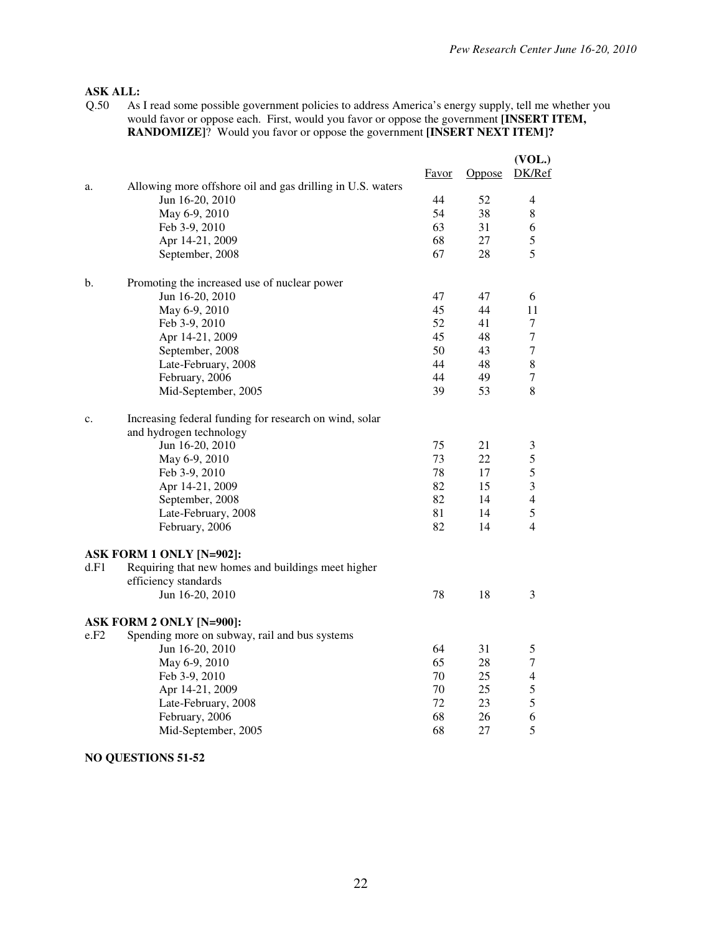# **ASK ALL:**<br>Q.50 As

As I read some possible government policies to address America's energy supply, tell me whether you would favor or oppose each. First, would you favor or oppose the government **[INSERT ITEM, RANDOMIZE]**? Would you favor or oppose the government **[INSERT NEXT ITEM]?**

|      |                                                            |       |        | (VOL.)         |
|------|------------------------------------------------------------|-------|--------|----------------|
|      |                                                            | Favor | Oppose | DK/Ref         |
| a.   | Allowing more offshore oil and gas drilling in U.S. waters |       |        |                |
|      | Jun 16-20, 2010                                            | 44    | 52     | $\overline{4}$ |
|      | May 6-9, 2010                                              | 54    | 38     | $\,8\,$        |
|      | Feb 3-9, 2010                                              | 63    | 31     | 6              |
|      | Apr 14-21, 2009                                            | 68    | 27     | 5              |
|      | September, 2008                                            | 67    | 28     | 5              |
| b.   | Promoting the increased use of nuclear power               |       |        |                |
|      | Jun 16-20, 2010                                            | 47    | 47     | 6              |
|      | May 6-9, 2010                                              | 45    | 44     | 11             |
|      | Feb 3-9, 2010                                              | 52    | 41     | $\tau$         |
|      | Apr 14-21, 2009                                            | 45    | 48     | $\tau$         |
|      | September, 2008                                            | 50    | 43     | $\tau$         |
|      | Late-February, 2008                                        | 44    | 48     | 8              |
|      | February, 2006                                             | 44    | 49     | $\overline{7}$ |
|      | Mid-September, 2005                                        | 39    | 53     | 8              |
| c.   | Increasing federal funding for research on wind, solar     |       |        |                |
|      | and hydrogen technology                                    |       |        |                |
|      | Jun 16-20, 2010                                            | 75    | 21     | $\mathfrak{Z}$ |
|      | May 6-9, 2010                                              | 73    | 22     | 5              |
|      | Feb 3-9, 2010                                              | 78    | 17     | 5              |
|      | Apr 14-21, 2009                                            | 82    | 15     | 3              |
|      | September, 2008                                            | 82    | 14     | $\overline{4}$ |
|      | Late-February, 2008                                        | 81    | 14     | 5              |
|      | February, 2006                                             | 82    | 14     | $\overline{4}$ |
|      | ASK FORM 1 ONLY [N=902]:                                   |       |        |                |
| d.F1 | Requiring that new homes and buildings meet higher         |       |        |                |
|      | efficiency standards                                       |       |        |                |
|      | Jun 16-20, 2010                                            | 78    | 18     | 3              |
|      | ASK FORM 2 ONLY [N=900]:                                   |       |        |                |
| e.F2 | Spending more on subway, rail and bus systems              |       |        |                |
|      | Jun 16-20, 2010                                            | 64    | 31     | 5              |
|      | May 6-9, 2010                                              | 65    | 28     | $\tau$         |
|      | Feb 3-9, 2010                                              | 70    | 25     | $\overline{4}$ |
|      | Apr 14-21, 2009                                            | 70    | 25     | 5              |
|      | Late-February, 2008                                        | 72    | 23     | 5              |
|      | February, 2006                                             | 68    | 26     | 6              |
|      | Mid-September, 2005                                        | 68    | 27     | 5              |
|      |                                                            |       |        |                |

**NO QUESTIONS 51-52**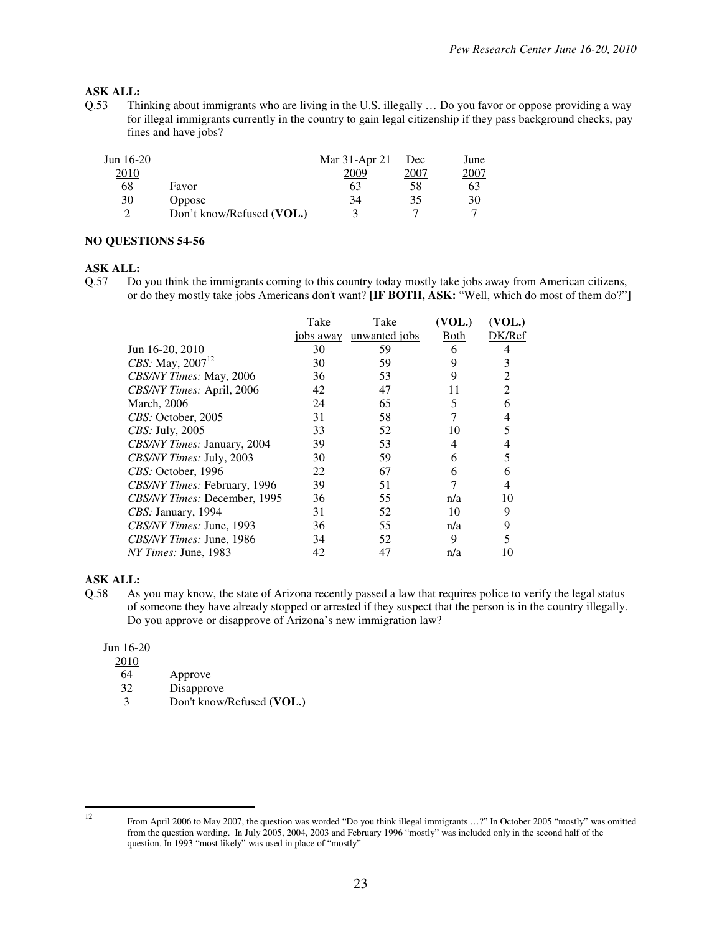### **ASK ALL:**

Q.53 Thinking about immigrants who are living in the U.S. illegally … Do you favor or oppose providing a way for illegal immigrants currently in the country to gain legal citizenship if they pass background checks, pay fines and have jobs?

| Jun $16-20$ |                           | Mar 31-Apr 21 | Dec  | June        |
|-------------|---------------------------|---------------|------|-------------|
| 2010        |                           | 2009          | 2007 | <u>2007</u> |
| 68          | Favor                     | 63            | 58   | 63          |
| 30          | Oppose                    | 34            | 35   | 30          |
|             | Don't know/Refused (VOL.) | 2             |      |             |

#### **NO QUESTIONS 54-56**

#### **ASK ALL:**

Q.57 Do you think the immigrants coming to this country today mostly take jobs away from American citizens, or do they mostly take jobs Americans don't want? **[IF BOTH, ASK:** "Well, which do most of them do?"**]**

|                              | Take      | Take          | (VOL.) | (VOL.) |
|------------------------------|-----------|---------------|--------|--------|
|                              | jobs away | unwanted jobs | Both   | DK/Ref |
| Jun 16-20, 2010              | 30        | 59            | 6      | 4      |
| <i>CBS:</i> May, $2007^{12}$ | 30        | 59            | 9      | 3      |
| CBS/NY Times: May, 2006      | 36        | 53            | 9      | 2      |
| CBS/NY Times: April, 2006    | 42        | 47            | 11     | 2      |
| <b>March</b> , 2006          | 24        | 65            | 5      | 6      |
| <i>CBS:</i> October, 2005    | 31        | 58            |        | 4      |
| <i>CBS</i> : July, 2005      | 33        | 52            | 10     |        |
| CBS/NY Times: January, 2004  | 39        | 53            | 4      |        |
| CBS/NY Times: July, 2003     | 30        | 59            | 6      | 5      |
| CBS: October, 1996           | 22        | 67            | 6      | 6      |
| CBS/NY Times: February, 1996 | 39        | 51            |        |        |
| CBS/NY Times: December, 1995 | 36        | 55            | n/a    | 10     |
| CBS: January, 1994           | 31        | 52            | 10     | 9      |
| CBS/NY Times: June, 1993     | 36        | 55            | n/a    | 9      |
| CBS/NY Times: June, 1986     | 34        | 52            | 9      |        |
| <i>NY Times: June, 1983</i>  | 42        | 47            | n/a    |        |
|                              |           |               |        |        |

#### **ASK ALL:**

Q.58 As you may know, the state of Arizona recently passed a law that requires police to verify the legal status of someone they have already stopped or arrested if they suspect that the person is in the country illegally. Do you approve or disapprove of Arizona's new immigration law?

Jun 16-20

 $\frac{2010}{64}$ 

Approve

32 Disapprove

3 Don't know/Refused **(VOL.)** 

 $\frac{1}{12}$ 

From April 2006 to May 2007, the question was worded "Do you think illegal immigrants …?" In October 2005 "mostly" was omitted from the question wording. In July 2005, 2004, 2003 and February 1996 "mostly" was included only in the second half of the question. In 1993 "most likely" was used in place of "mostly"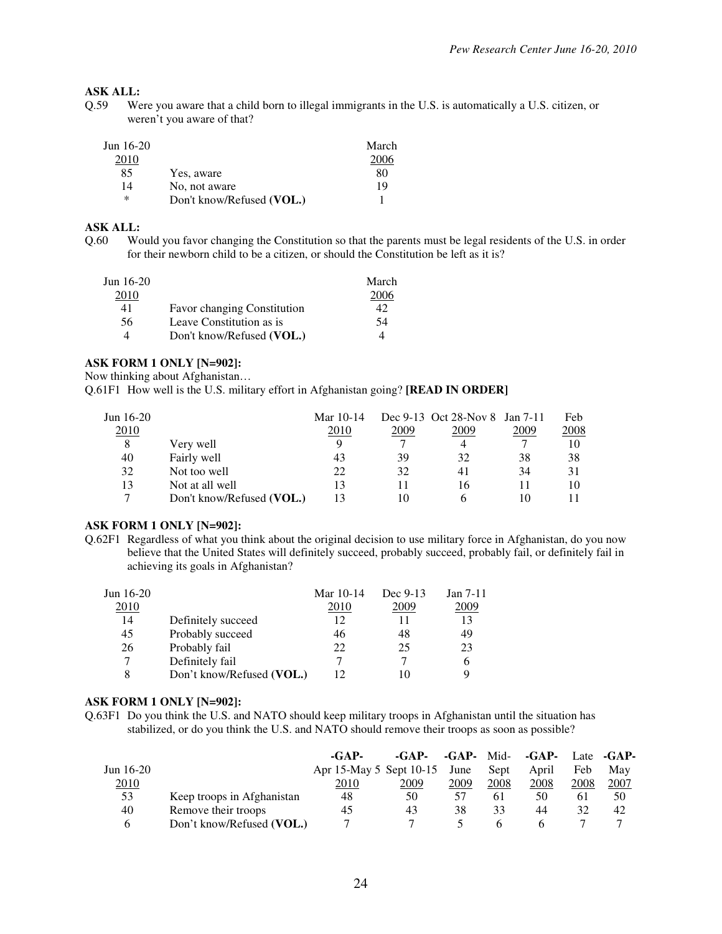# **ASK ALL:**<br>0.59 We

Were you aware that a child born to illegal immigrants in the U.S. is automatically a U.S. citizen, or weren't you aware of that?

| Jun $16-20$<br>2010 |                           | March<br>2006 |
|---------------------|---------------------------|---------------|
| 85                  | Yes, aware                | 80            |
| 14                  | No, not aware             | 19            |
| $\ast$              | Don't know/Refused (VOL.) |               |

#### **ASK ALL:**

Q.60 Would you favor changing the Constitution so that the parents must be legal residents of the U.S. in order for their newborn child to be a citizen, or should the Constitution be left as it is?

| Jun $16-20$ |                                    | March |
|-------------|------------------------------------|-------|
| 2010        |                                    | 2006  |
| 41          | <b>Favor changing Constitution</b> | 42    |
| 56.         | Leave Constitution as is           | 54    |
|             | Don't know/Refused (VOL.)          |       |

### **ASK FORM 1 ONLY [N=902]:**

Now thinking about Afghanistan…

Q.61F1 How well is the U.S. military effort in Afghanistan going? **[READ IN ORDER]**

| Jun $16-20$ |                           | Mar 10-14 |      | Dec 9-13 Oct 28-Nov 8 Jan 7-11 |      | Feb  |
|-------------|---------------------------|-----------|------|--------------------------------|------|------|
| 2010        |                           | 2010      | 2009 | 2009                           | 2009 | 2008 |
| 8           | Very well                 |           |      | 4                              |      | 10   |
| 40          | Fairly well               | 43        | 39   | 32                             | 38   | 38   |
| 32          | Not too well              | 22        | 32   | 41                             | 34   | 31   |
| 13          | Not at all well           | 13        |      | 16                             |      | 10   |
|             | Don't know/Refused (VOL.) |           | 10   |                                | 10   |      |

#### **ASK FORM 1 ONLY [N=902]:**

Q.62F1 Regardless of what you think about the original decision to use military force in Afghanistan, do you now believe that the United States will definitely succeed, probably succeed, probably fail, or definitely fail in achieving its goals in Afghanistan?

| Jun $16-20$ |                           | Mar 10-14 | Dec 9-13 | Jan $7-11$ |
|-------------|---------------------------|-----------|----------|------------|
| 2010        |                           | 2010      | 2009     | 2009       |
| 14          | Definitely succeed        | 12        |          | 13         |
| 45          | Probably succeed          | 46        | 48       | 49         |
| 26          | Probably fail             | 22        | 25       | 23         |
|             | Definitely fail           |           |          | O          |
| 8           | Don't know/Refused (VOL.) |           |          | Q          |

#### **ASK FORM 1 ONLY [N=902]:**

Q.63F1 Do you think the U.S. and NATO should keep military troops in Afghanistan until the situation has stabilized, or do you think the U.S. and NATO should remove their troops as soon as possible?

|              |                            | $-GAP-$                 | $-GAP-$ | $-GAP-$ Mid- |      | -GAP- |      | Late -GAP- |
|--------------|----------------------------|-------------------------|---------|--------------|------|-------|------|------------|
| Jun $16-20$  |                            | Apr 15-May 5 Sept 10-15 |         | June         | Sept | April | Feb  | May        |
| 2010         |                            | 2010                    | 2009    | 2009         | 2008 | 2008  | 2008 | 2007       |
| 53           | Keep troops in Afghanistan | 48                      | 50      | 57           | 61   | 50    | 61   | 50         |
| 40           | Remove their troops        | 45                      | 43      | 38           | 33   | 44    | 32   | 42         |
| <sub>(</sub> | Don't know/Refused (VOL.)  |                         |         |              | h    |       |      |            |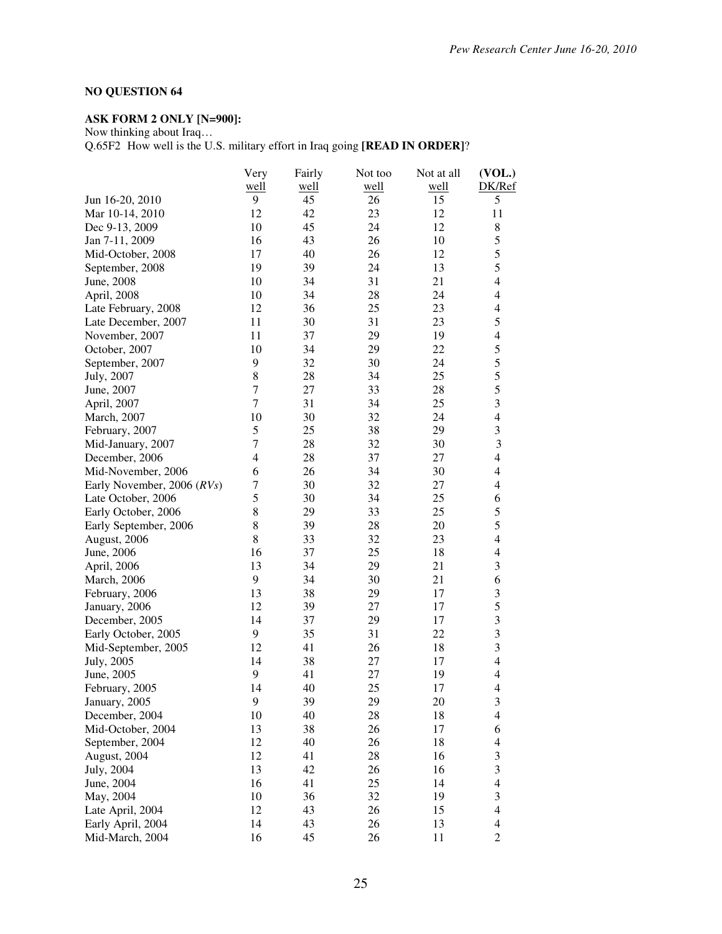### **NO QUESTION 64**

# **ASK FORM 2 ONLY [N=900]:**

Now thinking about Iraq…

Q.65F2 How well is the U.S. military effort in Iraq going **[READ IN ORDER]**?

|                            | Very             | Fairly | Not too | Not at all | (VOL.)                   |
|----------------------------|------------------|--------|---------|------------|--------------------------|
|                            | well             | well   | well    | well       | DK/Ref                   |
| Jun 16-20, 2010            | 9                | 45     | 26      | 15         | 5                        |
| Mar 10-14, 2010            | 12               | 42     | 23      | 12         | 11                       |
| Dec 9-13, 2009             | 10               | 45     | 24      | 12         | 8                        |
| Jan 7-11, 2009             | 16               | 43     | 26      | 10         | 5                        |
| Mid-October, 2008          | 17               | 40     | 26      | 12         | 5                        |
| September, 2008            | 19               | 39     | 24      | 13         | 5                        |
| June, 2008                 | 10               | 34     | 31      | 21         | $\overline{4}$           |
| April, 2008                | 10               | 34     | 28      | 24         | 4                        |
| Late February, 2008        | 12               | 36     | 25      | 23         | 4                        |
| Late December, 2007        | 11               | 30     | 31      | 23         | 5                        |
| November, 2007             | 11               | 37     | 29      | 19         | $\overline{\mathbf{4}}$  |
| October, 2007              | 10               | 34     | 29      | 22         | 5                        |
| September, 2007            | 9                | 32     | 30      | 24         | 5                        |
| July, 2007                 | 8                | 28     | 34      | 25         | 5                        |
| June, 2007                 | $\tau$           | 27     | 33      | 28         | 5                        |
| April, 2007                | 7                | 31     | 34      | 25         | 3                        |
| March, 2007                | 10               | 30     | 32      | 24         | $\overline{4}$           |
| February, 2007             | 5                | 25     | 38      | 29         | 3                        |
| Mid-January, 2007          | $\tau$           | 28     | 32      | 30         | $\overline{\mathbf{3}}$  |
| December, 2006             | $\overline{4}$   | 28     | 37      | 27         | 4                        |
| Mid-November, 2006         | 6                | 26     | 34      | 30         | $\overline{4}$           |
| Early November, 2006 (RVs) | $\boldsymbol{7}$ | 30     | 32      | 27         | $\overline{\mathcal{L}}$ |
| Late October, 2006         | 5                | 30     | 34      | 25         | 6                        |
| Early October, 2006        | 8                | 29     | 33      | 25         | 5                        |
| Early September, 2006      | $8\,$            | 39     | 28      | 20         | 5                        |
| August, 2006               | 8                | 33     | 32      | 23         | $\overline{4}$           |
| June, 2006                 | 16               | 37     | 25      | 18         | $\overline{4}$           |
| April, 2006                | 13               | 34     | 29      | 21         | 3                        |
| March, 2006                | 9                | 34     | 30      | 21         | 6                        |
| February, 2006             | 13               | 38     | 29      | 17         | 3                        |
| January, 2006              | 12               | 39     | 27      | 17         | 5                        |
| December, 2005             | 14               | 37     | 29      | 17         | 3                        |
| Early October, 2005        | 9                | 35     | 31      | 22         | $\mathfrak{Z}$           |
| Mid-September, 2005        | 12               | 41     | 26      | 18         | 3                        |
| July, 2005                 | 14               | 38     | 27      | 17         | $\overline{4}$           |
| June, 2005                 | 9                | 41     | 27      | 19         | $\overline{4}$           |
| February, 2005             | 14               | 40     | 25      | 17         | $\overline{4}$           |
| January, 2005              | 9                | 39     | 29      | 20         | 3                        |
| December, 2004             | 10               | 40     | 28      | 18         | $\overline{\mathbf{4}}$  |
| Mid-October, 2004          | 13               | 38     | 26      | 17         | 6                        |
| September, 2004            | 12               | 40     | 26      | 18         | $\overline{\mathbf{4}}$  |
| August, 2004               | 12               | 41     | 28      | 16         | 3                        |
| July, 2004                 | 13               | 42     | 26      | 16         | 3                        |
| June, 2004                 | 16               | 41     | 25      | 14         | $\overline{\mathbf{4}}$  |
| May, 2004                  | 10               | 36     | 32      | 19         | 3                        |
| Late April, 2004           | 12               | 43     | 26      | 15         | $\overline{\mathcal{L}}$ |
| Early April, 2004          | 14               | 43     | 26      | 13         | $\overline{\mathcal{L}}$ |
| Mid-March, 2004            | 16               | 45     | 26      | 11         | $\overline{c}$           |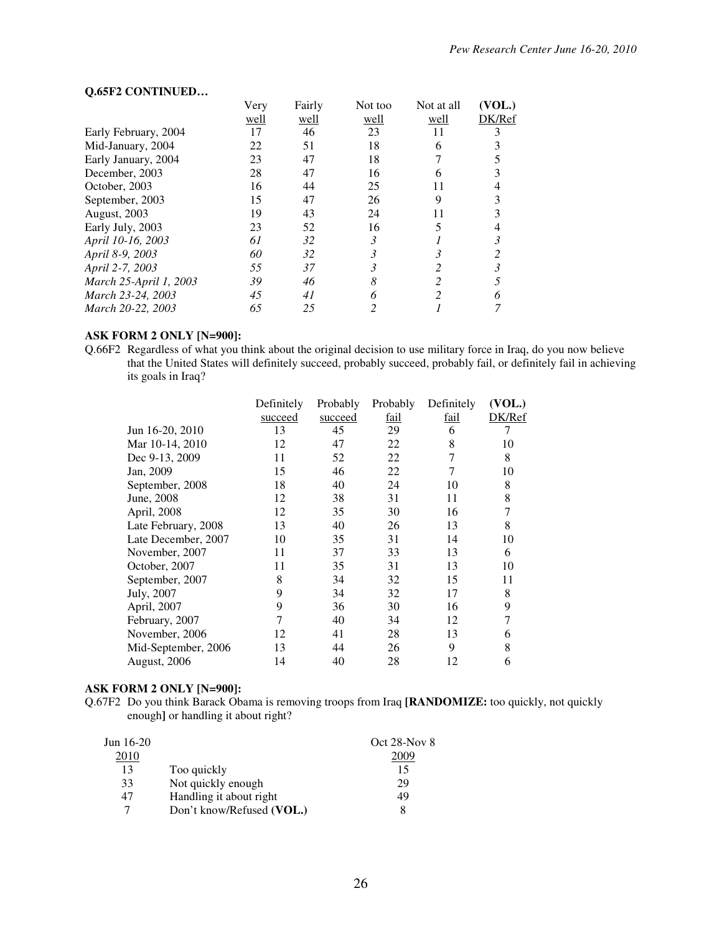#### **Q.65F2 CONTINUED…**

|                        | Very | Fairly | Not too | Not at all | (VOL.) |
|------------------------|------|--------|---------|------------|--------|
|                        | well | well   | well    | well       | DK/Ref |
| Early February, 2004   | 17   | 46     | 23      | 11         |        |
| Mid-January, 2004      | 22   | 51     | 18      | 6          |        |
| Early January, 2004    | 23   | 47     | 18      |            |        |
| December, 2003         | 28   | 47     | 16      | 6          |        |
| October, 2003          | 16   | 44     | 25      | 11         | 4      |
| September, 2003        | 15   | 47     | 26      | 9          |        |
| August, 2003           | 19   | 43     | 24      | 11         |        |
| Early July, 2003       | 23   | 52     | 16      |            |        |
| April 10-16, 2003      | 61   | 32     | 3       |            | 3      |
| April 8-9, 2003        | 60   | 32     | 3       | 3          |        |
| April 2-7, 2003        | 55   | 37     | 3       |            |        |
| March 25-April 1, 2003 | 39   | 46     | 8       |            |        |
| March 23-24, 2003      | 45   | 41     | 6       |            |        |
| March 20-22, 2003      | 65   | 25     |         |            |        |

### **ASK FORM 2 ONLY [N=900]:**

Q.66F2 Regardless of what you think about the original decision to use military force in Iraq, do you now believe that the United States will definitely succeed, probably succeed, probably fail, or definitely fail in achieving its goals in Iraq?

|                     | Definitely | Probably | Probably    | Definitely | (VOL.) |
|---------------------|------------|----------|-------------|------------|--------|
|                     | succeed    | succeed  | <u>fail</u> | fail       | DK/Ref |
| Jun 16-20, 2010     | 13         | 45       | 29          | 6          |        |
| Mar 10-14, 2010     | 12         | 47       | 22          | 8          | 10     |
| Dec 9-13, 2009      | 11         | 52       | 22          | 7          | 8      |
| Jan, 2009           | 15         | 46       | 22          | 7          | 10     |
| September, 2008     | 18         | 40       | 24          | 10         | 8      |
| June, 2008          | 12         | 38       | 31          | 11         | 8      |
| April, 2008         | 12         | 35       | 30          | 16         |        |
| Late February, 2008 | 13         | 40       | 26          | 13         | 8      |
| Late December, 2007 | 10         | 35       | 31          | 14         | 10     |
| November, 2007      | 11         | 37       | 33          | 13         | 6      |
| October, 2007       | 11         | 35       | 31          | 13         | 10     |
| September, 2007     | 8          | 34       | 32          | 15         | 11     |
| July, 2007          | 9          | 34       | 32          | 17         | 8      |
| April, 2007         | 9          | 36       | 30          | 16         | 9      |
| February, 2007      | 7          | 40       | 34          | 12         |        |
| November, 2006      | 12         | 41       | 28          | 13         | 6      |
| Mid-September, 2006 | 13         | 44       | 26          | 9          | 8      |
| August, 2006        | 14         | 40       | 28          | 12         | 6      |
|                     |            |          |             |            |        |

#### **ASK FORM 2 ONLY [N=900]:**

Q.67F2 Do you think Barack Obama is removing troops from Iraq **[RANDOMIZE:** too quickly, not quickly enough**]** or handling it about right?

| Jun 16-20 |                           | Oct $28$ -Nov $8$ |
|-----------|---------------------------|-------------------|
| 2010      |                           |                   |
| 13        | Too quickly               |                   |
| 33        | Not quickly enough        | 29                |
| 47        | Handling it about right   | 49                |
| 7         | Don't know/Refused (VOL.) |                   |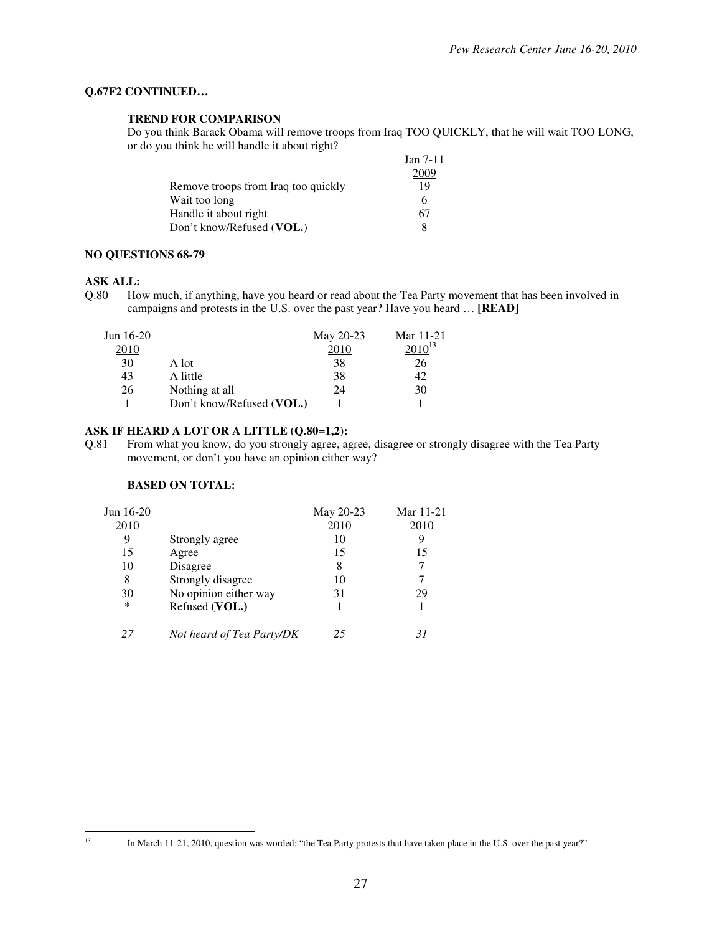### **Q.67F2 CONTINUED…**

#### **TREND FOR COMPARISON**

 Do you think Barack Obama will remove troops from Iraq TOO QUICKLY, that he will wait TOO LONG, or do you think he will handle it about right?

|                                     | Jan $7-11$ |
|-------------------------------------|------------|
|                                     | 2009       |
| Remove troops from Iraq too quickly | 19         |
| Wait too long                       | h          |
| Handle it about right               | 67         |
| Don't know/Refused (VOL.)           |            |

#### **NO QUESTIONS 68-79**

#### **ASK ALL:**

Q.80 How much, if anything, have you heard or read about the Tea Party movement that has been involved in campaigns and protests in the U.S. over the past year? Have you heard … **[READ]**

| Jun $16-20$ |                           | May 20-23 | Mar 11-21   |
|-------------|---------------------------|-----------|-------------|
| 2010        |                           | 2010      | $2010^{13}$ |
| 30          | A lot                     | 38        | 26          |
| 43          | A little                  | 38        | 42          |
| 26          | Nothing at all            | 24        | 30          |
|             | Don't know/Refused (VOL.) |           |             |

#### **ASK IF HEARD A LOT OR A LITTLE (Q.80=1,2):**

Q.81 From what you know, do you strongly agree, agree, disagree or strongly disagree with the Tea Party movement, or don't you have an opinion either way?

#### **BASED ON TOTAL:**

| Jun 16-20 |                           | May 20-23 | Mar 11-21 |
|-----------|---------------------------|-----------|-----------|
| 2010      |                           | 2010      | 2010      |
| 9         | Strongly agree            | 10        | 9         |
| 15        | Agree                     | 15        | 15        |
| 10        | Disagree                  | 8         |           |
| 8         | Strongly disagree         | 10        |           |
| 30        | No opinion either way     | 31        | 29        |
| *         | Refused (VOL.)            |           |           |
| 27        | Not heard of Tea Party/DK | 25        |           |

 $13\,$ 

<sup>13</sup> In March 11-21, 2010, question was worded: "the Tea Party protests that have taken place in the U.S. over the past year?"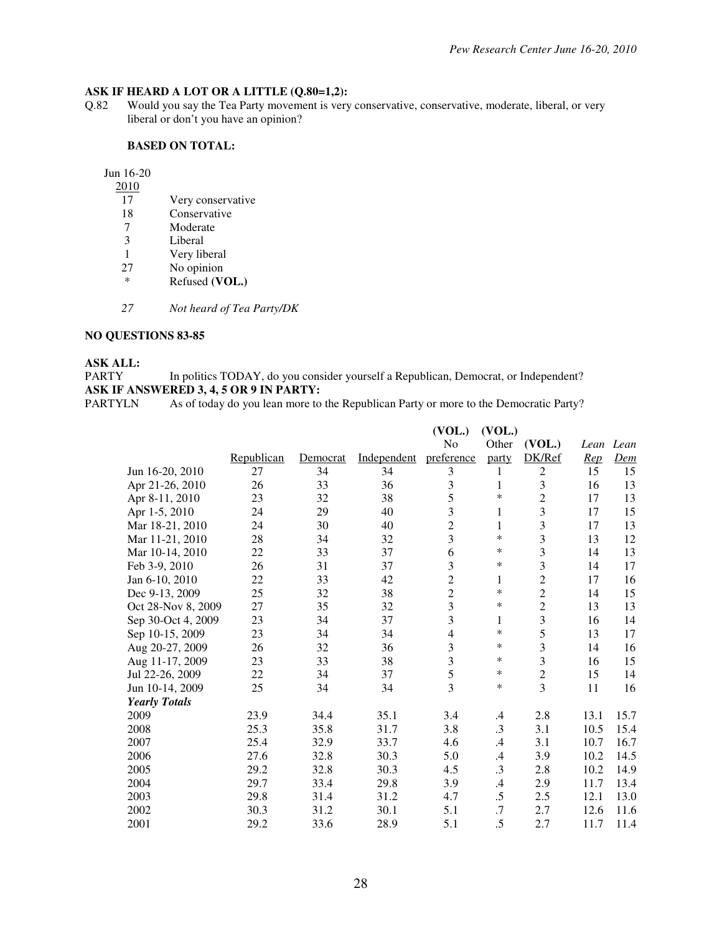# **ASK IF HEARD A LOT OR A LITTLE (Q.80=1,2):** 0.82 Would you say the Tea Party movement is very

Would you say the Tea Party movement is very conservative, conservative, moderate, liberal, or very liberal or don't you have an opinion?

#### **BASED ON TOTAL:**

Jun 16-20

- 2010
- 17 Very conservative<br>18 Conservative
- 18 Conservative<br>7 Moderate
- 7 Moderate<br>3 Liberal
- Liberal
- 1 Very liberal<br>27 No opinion
- $27$  No opinion<br>\* Refused (V)
- Refused (VOL.)
- *27 Not heard of Tea Party/DK*

### **NO QUESTIONS 83-85**

# **ASK ALL:**

In politics TODAY, do you consider yourself a Republican, Democrat, or Independent? **ASK IF ANSWERED 3, 4, 5 OR 9 IN PARTY:**<br>PARTYLN As of today do you lean more to

As of today do you lean more to the Republican Party or more to the Democratic Party?

|                      |            |          |             | (VOL.)         | (VOL.)       |                         |           |      |
|----------------------|------------|----------|-------------|----------------|--------------|-------------------------|-----------|------|
|                      |            |          |             | No             | Other        | (VOL.)                  | Lean Lean |      |
|                      | Republican | Democrat | Independent | preference     | party        | DK/Ref                  | Rep       | Dem  |
| Jun 16-20, 2010      | 27         | 34       | 34          | 3              | 1            | $\overline{2}$          | 15        | 15   |
| Apr 21-26, 2010      | 26         | 33       | 36          | 3              | $\mathbf{1}$ | 3                       | 16        | 13   |
| Apr 8-11, 2010       | 23         | 32       | 38          | 5              | $\ast$       | $\overline{c}$          | 17        | 13   |
| Apr 1-5, 2010        | 24         | 29       | 40          | 3              | $\mathbf{1}$ | 3                       | 17        | 15   |
| Mar 18-21, 2010      | 24         | 30       | 40          | $\overline{c}$ | 1            | 3                       | 17        | 13   |
| Mar 11-21, 2010      | 28         | 34       | 32          | 3              | *            | 3                       | 13        | 12   |
| Mar 10-14, 2010      | 22         | 33       | 37          | 6              | *            | 3                       | 14        | 13   |
| Feb 3-9, 2010        | 26         | 31       | 37          | 3              | *            | $\overline{\mathbf{3}}$ | 14        | 17   |
| Jan 6-10, 2010       | 22         | 33       | 42          | $\overline{2}$ | $\mathbf{1}$ | $\overline{c}$          | 17        | 16   |
| Dec 9-13, 2009       | 25         | 32       | 38          | $\overline{2}$ | *            | $\overline{c}$          | 14        | 15   |
| Oct 28-Nov 8, 2009   | 27         | 35       | 32          | 3              | *            | $\overline{c}$          | 13        | 13   |
| Sep 30-Oct 4, 2009   | 23         | 34       | 37          | 3              | 1            | 3                       | 16        | 14   |
| Sep 10-15, 2009      | 23         | 34       | 34          | 4              | *            | 5                       | 13        | 17   |
| Aug 20-27, 2009      | 26         | 32       | 36          | 3              | *            | 3                       | 14        | 16   |
| Aug 11-17, 2009      | 23         | 33       | 38          | 3              | *            | 3                       | 16        | 15   |
| Jul 22-26, 2009      | 22         | 34       | 37          | 5              | *            | $\overline{2}$          | 15        | 14   |
| Jun 10-14, 2009      | 25         | 34       | 34          | $\overline{3}$ | *            | $\overline{3}$          | 11        | 16   |
| <b>Yearly Totals</b> |            |          |             |                |              |                         |           |      |
| 2009                 | 23.9       | 34.4     | 35.1        | 3.4            | $\cdot$ 4    | 2.8                     | 13.1      | 15.7 |
| 2008                 | 25.3       | 35.8     | 31.7        | 3.8            | $\cdot$ 3    | 3.1                     | 10.5      | 15.4 |
| 2007                 | 25.4       | 32.9     | 33.7        | 4.6            | .4           | 3.1                     | 10.7      | 16.7 |
| 2006                 | 27.6       | 32.8     | 30.3        | 5.0            | .4           | 3.9                     | 10.2      | 14.5 |
| 2005                 | 29.2       | 32.8     | 30.3        | 4.5            | .3           | 2.8                     | 10.2      | 14.9 |
| 2004                 | 29.7       | 33.4     | 29.8        | 3.9            | .4           | 2.9                     | 11.7      | 13.4 |
| 2003                 | 29.8       | 31.4     | 31.2        | 4.7            | $.5\,$       | 2.5                     | 12.1      | 13.0 |
| 2002                 | 30.3       | 31.2     | 30.1        | 5.1            | .7           | 2.7                     | 12.6      | 11.6 |
| 2001                 | 29.2       | 33.6     | 28.9        | 5.1            | .5           | 2.7                     | 11.7      | 11.4 |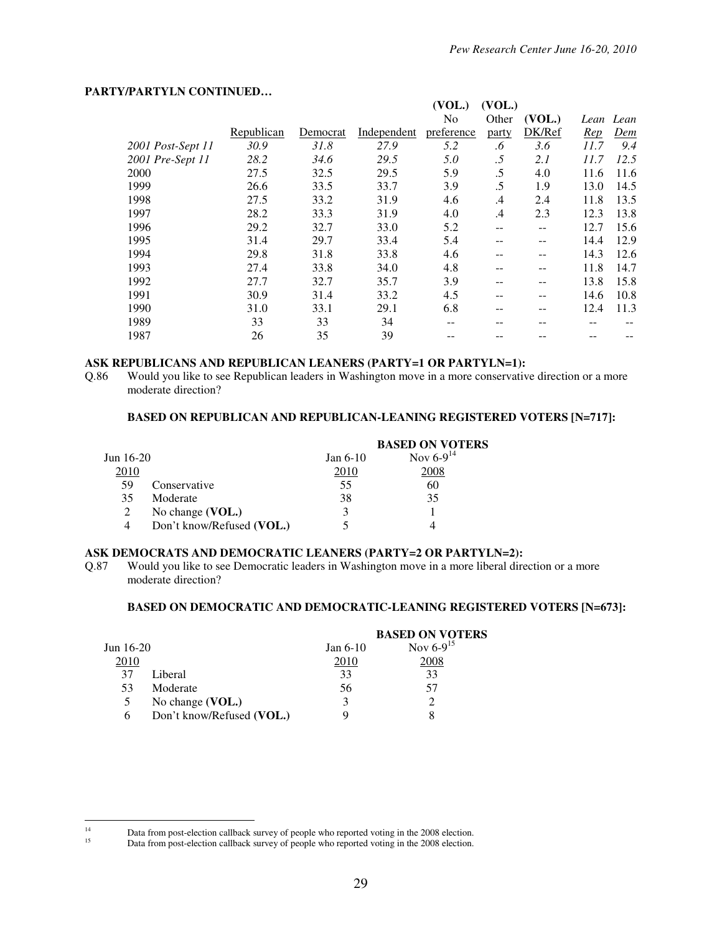### **PARTY/PARTYLN CONTINUED…**

|                   |            |          |             | (VOL.)     | (VOL.) |        |      |           |
|-------------------|------------|----------|-------------|------------|--------|--------|------|-----------|
|                   |            |          |             | No         | Other  | (VOL.) |      | Lean Lean |
|                   | Republican | Democrat | Independent | preference | party  | DK/Ref | Rep  | Dem       |
| 2001 Post-Sept 11 | 30.9       | 31.8     | 27.9        | 5.2        | .6     | 3.6    | 11.7 | 9.4       |
| 2001 Pre-Sept 11  | 28.2       | 34.6     | 29.5        | 5.0        | .5     | 2.1    | 11.7 | 12.5      |
| 2000              | 27.5       | 32.5     | 29.5        | 5.9        | .5     | 4.0    | 11.6 | 11.6      |
| 1999              | 26.6       | 33.5     | 33.7        | 3.9        | .5     | 1.9    | 13.0 | 14.5      |
| 1998              | 27.5       | 33.2     | 31.9        | 4.6        | .4     | 2.4    | 11.8 | 13.5      |
| 1997              | 28.2       | 33.3     | 31.9        | 4.0        | .4     | 2.3    | 12.3 | 13.8      |
| 1996              | 29.2       | 32.7     | 33.0        | 5.2        |        | --     | 12.7 | 15.6      |
| 1995              | 31.4       | 29.7     | 33.4        | 5.4        |        | --     | 14.4 | 12.9      |
| 1994              | 29.8       | 31.8     | 33.8        | 4.6        |        |        | 14.3 | 12.6      |
| 1993              | 27.4       | 33.8     | 34.0        | 4.8        |        |        | 11.8 | 14.7      |
| 1992              | 27.7       | 32.7     | 35.7        | 3.9        |        |        | 13.8 | 15.8      |
| 1991              | 30.9       | 31.4     | 33.2        | 4.5        |        |        | 14.6 | 10.8      |
| 1990              | 31.0       | 33.1     | 29.1        | 6.8        |        |        | 12.4 | 11.3      |
| 1989              | 33         | 33       | 34          | --         |        |        |      |           |
| 1987              | 26         | 35       | 39          |            |        |        |      |           |

# **ASK REPUBLICANS AND REPUBLICAN LEANERS (PARTY=1 OR PARTYLN=1):**<br>Q.86 Would you like to see Republican leaders in Washington move in a more conservative

Would you like to see Republican leaders in Washington move in a more conservative direction or a more moderate direction?

#### **BASED ON REPUBLICAN AND REPUBLICAN-LEANING REGISTERED VOTERS [N=717]:**

|           |                           |            | <b>BASED ON VOTERS</b> |
|-----------|---------------------------|------------|------------------------|
| Jun 16-20 |                           | Jan $6-10$ | Nov $6-9^{14}$         |
| 2010      |                           | 2010       | 2008                   |
| 59        | Conservative              | 55         | 60                     |
| 35        | Moderate                  | 38         | 35                     |
|           | No change (VOL.)          |            |                        |
| 4         | Don't know/Refused (VOL.) |            |                        |

### **ASK DEMOCRATS AND DEMOCRATIC LEANERS (PARTY=2 OR PARTYLN=2):**

Q.87 Would you like to see Democratic leaders in Washington move in a more liberal direction or a more moderate direction?

#### **BASED ON DEMOCRATIC AND DEMOCRATIC-LEANING REGISTERED VOTERS [N=673]:**

|           |                           |            | <b>BASED ON VOTERS</b> |
|-----------|---------------------------|------------|------------------------|
| Jun 16-20 |                           | Jan $6-10$ | Nov $6-9^{15}$         |
| 2010      |                           | 2010       | 2008                   |
| 37        | Liberal                   | 33         | 33                     |
| 53        | Moderate                  | 56         | 57                     |
| 5         | No change (VOL.)          | 3          |                        |
| h         | Don't know/Refused (VOL.) |            |                        |

 $14$ <sup>14</sup> Data from post-election callback survey of people who reported voting in the 2008 election.<br>
Dete from post-election callback survey of people who reported voting in the 2008 election.

Data from post-election callback survey of people who reported voting in the 2008 election.